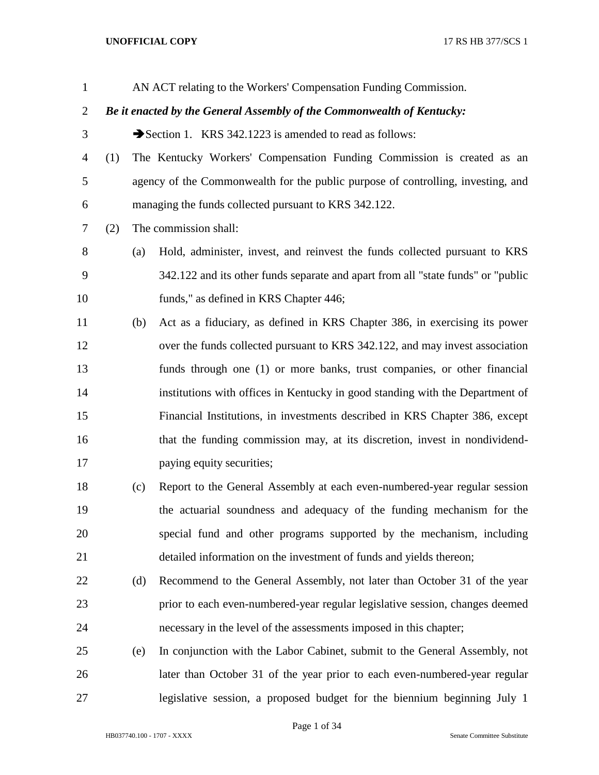| $\mathbf{1}$   |                                                                        |     | AN ACT relating to the Workers' Compensation Funding Commission.                 |
|----------------|------------------------------------------------------------------------|-----|----------------------------------------------------------------------------------|
| $\overline{2}$ | Be it enacted by the General Assembly of the Commonwealth of Kentucky: |     |                                                                                  |
| 3              |                                                                        |     | Section 1. KRS 342.1223 is amended to read as follows:                           |
| $\overline{4}$ | (1)                                                                    |     | The Kentucky Workers' Compensation Funding Commission is created as an           |
| 5              |                                                                        |     | agency of the Commonwealth for the public purpose of controlling, investing, and |
| 6              |                                                                        |     | managing the funds collected pursuant to KRS 342.122.                            |
| 7              | (2)                                                                    |     | The commission shall:                                                            |
| 8              |                                                                        | (a) | Hold, administer, invest, and reinvest the funds collected pursuant to KRS       |
| 9              |                                                                        |     | 342.122 and its other funds separate and apart from all "state funds" or "public |
| 10             |                                                                        |     | funds," as defined in KRS Chapter 446;                                           |
| 11             |                                                                        | (b) | Act as a fiduciary, as defined in KRS Chapter 386, in exercising its power       |
| 12             |                                                                        |     | over the funds collected pursuant to KRS 342.122, and may invest association     |
| 13             |                                                                        |     | funds through one (1) or more banks, trust companies, or other financial         |
| 14             |                                                                        |     | institutions with offices in Kentucky in good standing with the Department of    |
| 15             |                                                                        |     | Financial Institutions, in investments described in KRS Chapter 386, except      |
| 16             |                                                                        |     | that the funding commission may, at its discretion, invest in nondividend-       |
| 17             |                                                                        |     | paying equity securities;                                                        |
| 18             |                                                                        | (c) | Report to the General Assembly at each even-numbered-year regular session        |
| 19             |                                                                        |     | the actuarial soundness and adequacy of the funding mechanism for the            |
| 20             |                                                                        |     | special fund and other programs supported by the mechanism, including            |
| 21             |                                                                        |     | detailed information on the investment of funds and yields thereon;              |
| 22             |                                                                        | (d) | Recommend to the General Assembly, not later than October 31 of the year         |
| 23             |                                                                        |     | prior to each even-numbered-year regular legislative session, changes deemed     |
| 24             |                                                                        |     | necessary in the level of the assessments imposed in this chapter;               |
| 25             |                                                                        | (e) | In conjunction with the Labor Cabinet, submit to the General Assembly, not       |
| 26             |                                                                        |     | later than October 31 of the year prior to each even-numbered-year regular       |
| 27             |                                                                        |     | legislative session, a proposed budget for the biennium beginning July 1         |

HB037740.100 - 1707 - XXXX Senate Committee Substitute

Page 1 of 34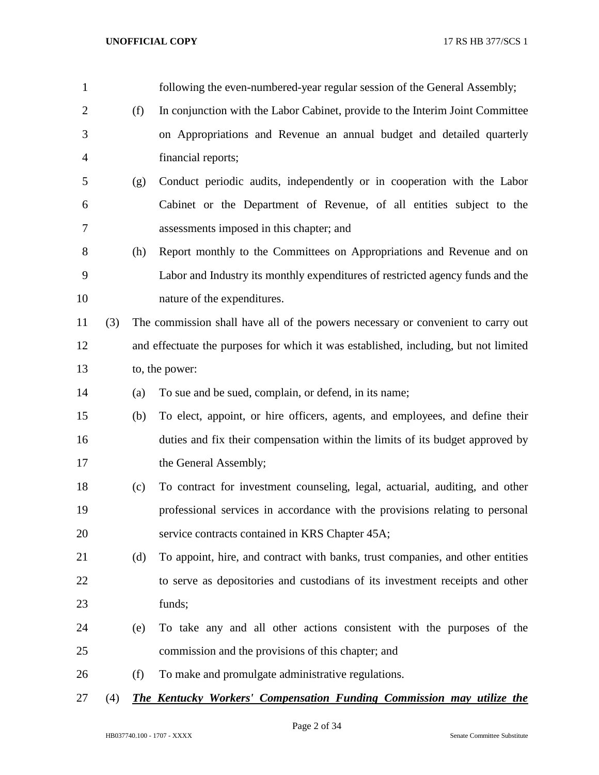| $\mathbf{1}$   |     |     | following the even-numbered-year regular session of the General Assembly;            |
|----------------|-----|-----|--------------------------------------------------------------------------------------|
| $\overline{2}$ |     | (f) | In conjunction with the Labor Cabinet, provide to the Interim Joint Committee        |
| 3              |     |     | on Appropriations and Revenue an annual budget and detailed quarterly                |
| $\overline{4}$ |     |     | financial reports;                                                                   |
| 5              |     | (g) | Conduct periodic audits, independently or in cooperation with the Labor              |
| 6              |     |     | Cabinet or the Department of Revenue, of all entities subject to the                 |
| 7              |     |     | assessments imposed in this chapter; and                                             |
| 8              |     | (h) | Report monthly to the Committees on Appropriations and Revenue and on                |
| 9              |     |     | Labor and Industry its monthly expenditures of restricted agency funds and the       |
| 10             |     |     | nature of the expenditures.                                                          |
| 11             | (3) |     | The commission shall have all of the powers necessary or convenient to carry out     |
| 12             |     |     | and effectuate the purposes for which it was established, including, but not limited |
| 13             |     |     | to, the power:                                                                       |
| 14             |     | (a) | To sue and be sued, complain, or defend, in its name;                                |
| 15             |     | (b) | To elect, appoint, or hire officers, agents, and employees, and define their         |
| 16             |     |     | duties and fix their compensation within the limits of its budget approved by        |
| 17             |     |     | the General Assembly;                                                                |
| 18             |     | (c) | To contract for investment counseling, legal, actuarial, auditing, and other         |
| 19             |     |     | professional services in accordance with the provisions relating to personal         |
| 20             |     |     | service contracts contained in KRS Chapter 45A;                                      |
| 21             |     | (d) | To appoint, hire, and contract with banks, trust companies, and other entities       |
| 22             |     |     | to serve as depositories and custodians of its investment receipts and other         |
| 23             |     |     | funds;                                                                               |
| 24             |     | (e) | To take any and all other actions consistent with the purposes of the                |
| 25             |     |     | commission and the provisions of this chapter; and                                   |
| 26             |     | (f) | To make and promulgate administrative regulations.                                   |
| 27             | (4) |     | <b>The Kentucky Workers' Compensation Funding Commission may utilize the</b>         |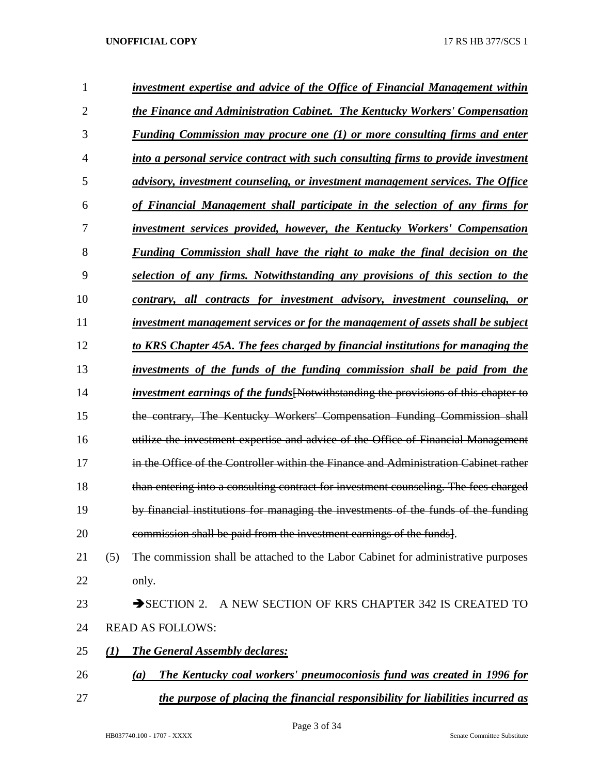| 1              |          | investment expertise and advice of the Office of Financial Management within                |
|----------------|----------|---------------------------------------------------------------------------------------------|
| $\overline{2}$ |          | the Finance and Administration Cabinet. The Kentucky Workers' Compensation                  |
| 3              |          | <b>Funding Commission may procure one (1) or more consulting firms and enter</b>            |
| 4              |          | into a personal service contract with such consulting firms to provide investment           |
| 5              |          | advisory, investment counseling, or investment management services. The Office              |
| 6              |          | of Financial Management shall participate in the selection of any firms for                 |
| 7              |          | <i>investment services provided, however, the Kentucky Workers' Compensation</i>            |
| 8              |          | <b>Funding Commission shall have the right to make the final decision on the</b>            |
| 9              |          | selection of any firms. Notwithstanding any provisions of this section to the               |
| 10             |          | contrary, all contracts for investment advisory, investment counseling, or                  |
| 11             |          | investment management services or for the management of assets shall be subject             |
| 12             |          | to KRS Chapter 45A. The fees charged by financial institutions for managing the             |
| 13             |          | investments of the funds of the funding commission shall be paid from the                   |
| 14             |          | <i>investment earnings of the funds</i> [Notwithstanding the provisions of this chapter to  |
| 15             |          | the contrary, The Kentucky Workers' Compensation Funding Commission shall                   |
| 16             |          | utilize the investment expertise and advice of the Office of Financial Management           |
| 17             |          | in the Office of the Controller within the Finance and Administration Cabinet rather        |
| 18             |          | than entering into a consulting contract for investment counseling. The fees charged        |
| 19             |          | by financial institutions for managing the investments of the funds of the funding          |
| 20             |          | commission shall be paid from the investment earnings of the funds].                        |
| 21             | (5)      | The commission shall be attached to the Labor Cabinet for administrative purposes           |
| 22             |          | only.                                                                                       |
| 23             |          | $\rightarrow$ SECTION 2.<br>A NEW SECTION OF KRS CHAPTER 342 IS CREATED TO                  |
| 24             |          | <b>READ AS FOLLOWS:</b>                                                                     |
| 25             | $\bf(1)$ | <b>The General Assembly declares:</b>                                                       |
| 26             |          | The Kentucky coal workers' pneumoconiosis fund was created in 1996 for<br>$\left( a\right)$ |
| 27             |          | the purpose of placing the financial responsibility for liabilities incurred as             |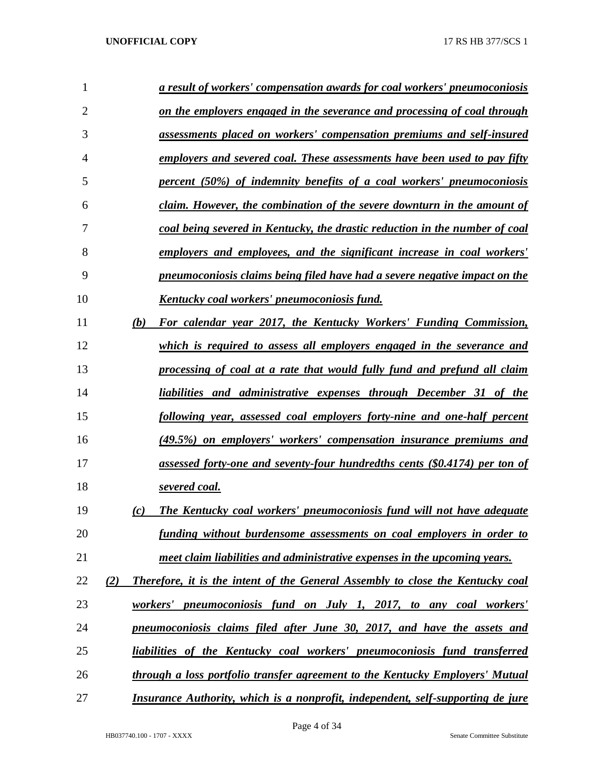| 1              |     | a result of workers' compensation awards for coal workers' pneumoconiosis             |
|----------------|-----|---------------------------------------------------------------------------------------|
| $\overline{2}$ |     | on the employers engaged in the severance and processing of coal through              |
| 3              |     | assessments placed on workers' compensation premiums and self-insured                 |
| 4              |     | employers and severed coal. These assessments have been used to pay fifty             |
| 5              |     | percent (50%) of indemnity benefits of a coal workers' pneumoconiosis                 |
| 6              |     | claim. However, the combination of the severe downturn in the amount of               |
| 7              |     | coal being severed in Kentucky, the drastic reduction in the number of coal           |
| 8              |     | employers and employees, and the significant increase in coal workers'                |
| 9              |     | pneumoconiosis claims being filed have had a severe negative impact on the            |
| 10             |     | Kentucky coal workers' pneumoconiosis fund.                                           |
| 11             | (b) | For calendar year 2017, the Kentucky Workers' Funding Commission,                     |
| 12             |     | which is required to assess all employers engaged in the severance and                |
| 13             |     | processing of coal at a rate that would fully fund and prefund all claim              |
| 14             |     | liabilities and administrative expenses through December 31 of the                    |
| 15             |     | following year, assessed coal employers forty-nine and one-half percent               |
| 16             |     | (49.5%) on employers' workers' compensation insurance premiums and                    |
| 17             |     | assessed forty-one and seventy-four hundredths cents (\$0.4174) per ton of            |
| 18             |     | severed coal.                                                                         |
| 19             | (c) | The Kentucky coal workers' pneumoconiosis fund will not have adequate                 |
| 20             |     | <u>funding without burdensome assessments on coal employers in order to</u>           |
| 21             |     | meet claim liabilities and administrative expenses in the upcoming years.             |
| 22             | (2) | <b>Therefore, it is the intent of the General Assembly to close the Kentucky coal</b> |
| 23             |     | workers' pneumoconiosis fund on July 1, 2017, to any coal workers'                    |
| 24             |     | pneumoconiosis claims filed after June 30, 2017, and have the assets and              |
| 25             |     | liabilities of the Kentucky coal workers' pneumoconiosis fund transferred             |
| 26             |     | through a loss portfolio transfer agreement to the Kentucky Employers' Mutual         |
| 27             |     | Insurance Authority, which is a nonprofit, independent, self-supporting de jure       |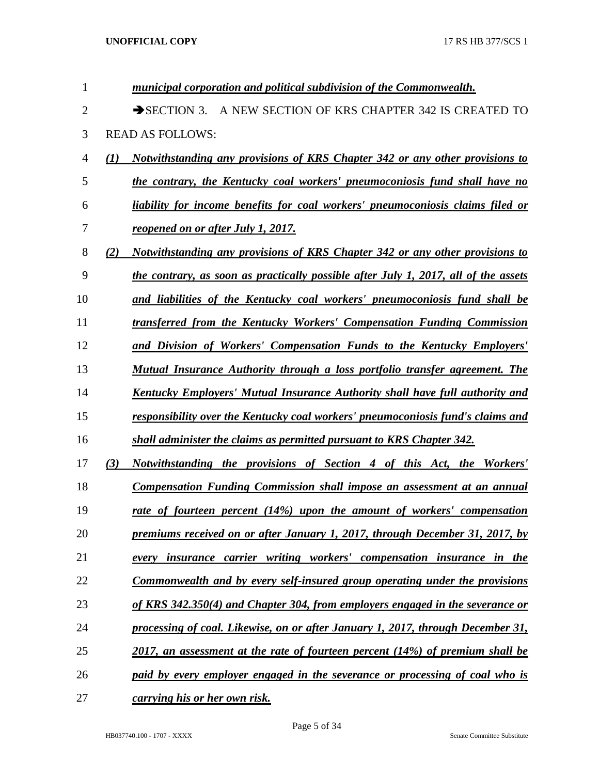| 1              |                  | municipal corporation and political subdivision of the Commonwealth.                       |
|----------------|------------------|--------------------------------------------------------------------------------------------|
| $\overline{2}$ |                  | $\rightarrow$ SECTION 3.<br>A NEW SECTION OF KRS CHAPTER 342 IS CREATED TO                 |
| 3              |                  | <b>READ AS FOLLOWS:</b>                                                                    |
| 4              | $\mathcal{L}(I)$ | Notwithstanding any provisions of KRS Chapter 342 or any other provisions to               |
| 5              |                  | the contrary, the Kentucky coal workers' pneumoconiosis fund shall have no                 |
| 6              |                  | liability for income benefits for coal workers' pneumoconiosis claims filed or             |
| 7              |                  | <u>reopened on or after July 1, 2017.</u>                                                  |
| 8              | (2)              | Notwithstanding any provisions of KRS Chapter 342 or any other provisions to               |
| 9              |                  | <u>the contrary, as soon as practically possible after July 1, 2017, all of the assets</u> |
| 10             |                  | and liabilities of the Kentucky coal workers' pneumoconiosis fund shall be                 |
| 11             |                  | transferred from the Kentucky Workers' Compensation Funding Commission                     |
| 12             |                  | and Division of Workers' Compensation Funds to the Kentucky Employers'                     |
| 13             |                  | Mutual Insurance Authority through a loss portfolio transfer agreement. The                |
| 14             |                  | Kentucky Employers' Mutual Insurance Authority shall have full authority and               |
| 15             |                  | responsibility over the Kentucky coal workers' pneumoconiosis fund's claims and            |
| 16             |                  | shall administer the claims as permitted pursuant to KRS Chapter 342.                      |
| 17             | (3)              | Notwithstanding the provisions of Section 4 of this Act, the Workers'                      |
| 18             |                  | <b>Compensation Funding Commission shall impose an assessment at an annual</b>             |
| 19             |                  | rate of fourteen percent (14%) upon the amount of workers' compensation                    |
| 20             |                  | premiums received on or after January 1, 2017, through December 31, 2017, by               |
| 21             |                  | every insurance carrier writing workers' compensation insurance in the                     |
| 22             |                  | <u>Commonwealth and by every self-insured group operating under the provisions</u>         |
| 23             |                  | of KRS 342.350(4) and Chapter 304, from employers engaged in the severance or              |
| 24             |                  | processing of coal. Likewise, on or after January 1, 2017, through December 31,            |
| 25             |                  | 2017, an assessment at the rate of fourteen percent (14%) of premium shall be              |
| 26             |                  | paid by every employer engaged in the severance or processing of coal who is               |
| 27             |                  | carrying his or her own risk.                                                              |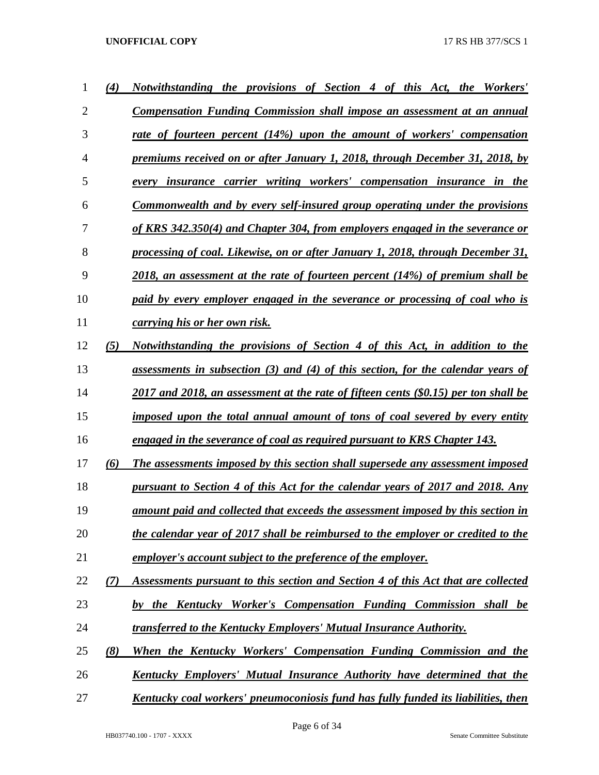| 1              | (4) | Notwithstanding the provisions of Section 4 of this Act, the Workers'                    |
|----------------|-----|------------------------------------------------------------------------------------------|
| $\overline{2}$ |     | <b>Compensation Funding Commission shall impose an assessment at an annual</b>           |
| 3              |     | rate of fourteen percent (14%) upon the amount of workers' compensation                  |
| $\overline{4}$ |     | premiums received on or after January 1, 2018, through December 31, 2018, by             |
| 5              |     | every insurance carrier writing workers' compensation insurance in the                   |
| 6              |     | Commonwealth and by every self-insured group operating under the provisions              |
| 7              |     | of KRS 342.350(4) and Chapter 304, from employers engaged in the severance or            |
| 8              |     | processing of coal. Likewise, on or after January 1, 2018, through December 31,          |
| 9              |     | $2018$ , an assessment at the rate of fourteen percent (14%) of premium shall be         |
| 10             |     | paid by every employer engaged in the severance or processing of coal who is             |
| 11             |     | <i>carrying his or her own risk.</i>                                                     |
| 12             | (5) | Notwithstanding the provisions of Section 4 of this Act, in addition to the              |
| 13             |     | assessments in subsection (3) and (4) of this section, for the calendar years of         |
| 14             |     | 2017 and 2018, an assessment at the rate of fifteen cents (\$0.15) per ton shall be      |
| 15             |     | imposed upon the total annual amount of tons of coal severed by every entity             |
| 16             |     | engaged in the severance of coal as required pursuant to KRS Chapter 143.                |
| 17             | (6) | The assessments imposed by this section shall supersede any assessment imposed           |
| 18             |     | pursuant to Section 4 of this Act for the calendar years of 2017 and 2018. Any           |
| 19             |     | amount paid and collected that exceeds the assessment imposed by this section in         |
| 20             |     | the calendar year of 2017 shall be reimbursed to the employer or credited to the         |
| 21             |     | employer's account subject to the preference of the employer.                            |
| 22             | (7) | Assessments pursuant to this section and Section 4 of this Act that are collected        |
| 23             |     | by the Kentucky Worker's Compensation Funding Commission shall be                        |
| 24             |     | transferred to the Kentucky Employers' Mutual Insurance Authority.                       |
| 25             | (8) | When the Kentucky Workers' Compensation Funding Commission and the                       |
| 26             |     | Kentucky Employers' Mutual Insurance Authority have determined that the                  |
| 27             |     | <u>Kentucky coal workers' pneumoconiosis fund has fully funded its liabilities, then</u> |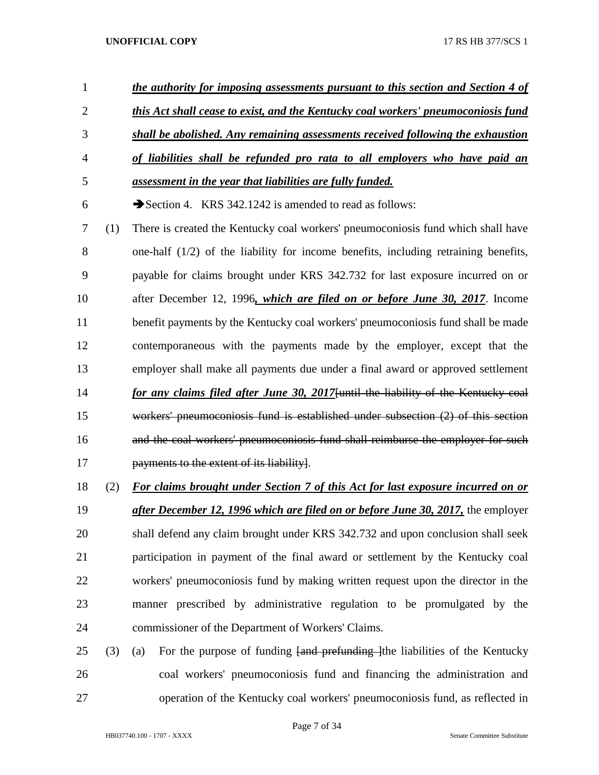- *the authority for imposing assessments pursuant to this section and Section 4 of this Act shall cease to exist, and the Kentucky coal workers' pneumoconiosis fund shall be abolished. Any remaining assessments received following the exhaustion of liabilities shall be refunded pro rata to all employers who have paid an assessment in the year that liabilities are fully funded.* 6  $\rightarrow$  Section 4. KRS 342.1242 is amended to read as follows: (1) There is created the Kentucky coal workers' pneumoconiosis fund which shall have one-half (1/2) of the liability for income benefits, including retraining benefits, payable for claims brought under KRS 342.732 for last exposure incurred on or after December 12, 1996*, which are filed on or before June 30, 2017*. Income benefit payments by the Kentucky coal workers' pneumoconiosis fund shall be made contemporaneous with the payments made by the employer, except that the employer shall make all payments due under a final award or approved settlement *for any claims filed after June 30, 2017*[until the liability of the Kentucky coal workers' pneumoconiosis fund is established under subsection (2) of this section and the coal workers' pneumoconiosis fund shall reimburse the employer for such **payments to the extent of its liability**. (2) *For claims brought under Section 7 of this Act for last exposure incurred on or after December 12, 1996 which are filed on or before June 30, 2017,* the employer shall defend any claim brought under KRS 342.732 and upon conclusion shall seek participation in payment of the final award or settlement by the Kentucky coal workers' pneumoconiosis fund by making written request upon the director in the manner prescribed by administrative regulation to be promulgated by the commissioner of the Department of Workers' Claims.
- (3) (a) For the purpose of funding [and prefunding ]the liabilities of the Kentucky coal workers' pneumoconiosis fund and financing the administration and operation of the Kentucky coal workers' pneumoconiosis fund, as reflected in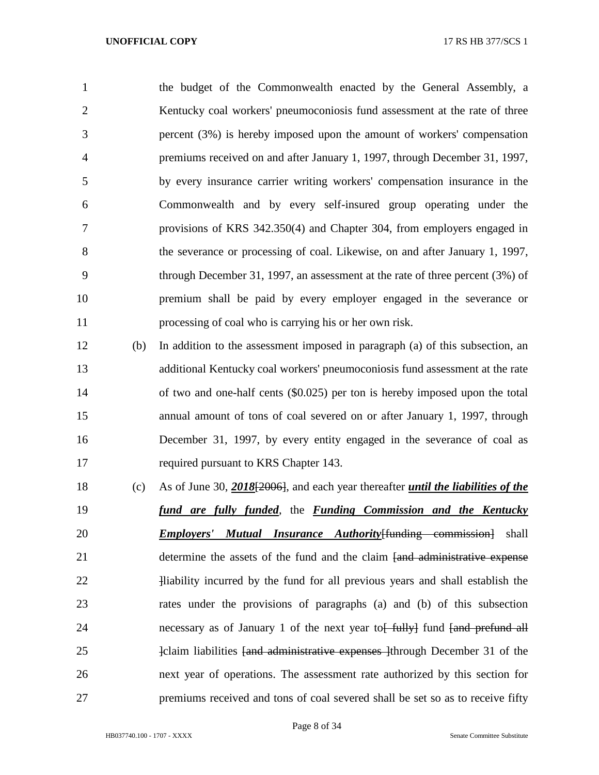the budget of the Commonwealth enacted by the General Assembly, a 2 Kentucky coal workers' pneumoconiosis fund assessment at the rate of three percent (3%) is hereby imposed upon the amount of workers' compensation premiums received on and after January 1, 1997, through December 31, 1997, by every insurance carrier writing workers' compensation insurance in the Commonwealth and by every self-insured group operating under the provisions of KRS 342.350(4) and Chapter 304, from employers engaged in the severance or processing of coal. Likewise, on and after January 1, 1997, through December 31, 1997, an assessment at the rate of three percent (3%) of premium shall be paid by every employer engaged in the severance or processing of coal who is carrying his or her own risk.

- (b) In addition to the assessment imposed in paragraph (a) of this subsection, an additional Kentucky coal workers' pneumoconiosis fund assessment at the rate of two and one-half cents (\$0.025) per ton is hereby imposed upon the total annual amount of tons of coal severed on or after January 1, 1997, through December 31, 1997, by every entity engaged in the severance of coal as required pursuant to KRS Chapter 143.
- (c) As of June 30, *2018*[2006], and each year thereafter *until the liabilities of the fund are fully funded*, the *Funding Commission and the Kentucky Employers' Mutual Insurance Authority*[funding commission] shall 21 determine the assets of the fund and the claim fund administrative expense **Illiability incurred by the fund for all previous years and shall establish the**  rates under the provisions of paragraphs (a) and (b) of this subsection 24 necessary as of January 1 of the next year to friend fund fund fand prefund all 25 1-claim liabilities <del>[and administrative expenses ]</del>through December 31 of the next year of operations. The assessment rate authorized by this section for premiums received and tons of coal severed shall be set so as to receive fifty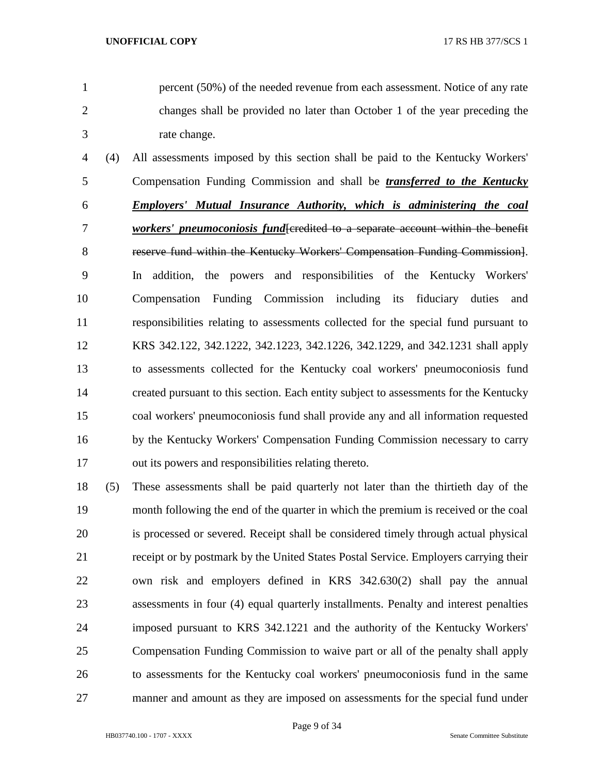percent (50%) of the needed revenue from each assessment. Notice of any rate changes shall be provided no later than October 1 of the year preceding the rate change.

- (4) All assessments imposed by this section shall be paid to the Kentucky Workers' Compensation Funding Commission and shall be *transferred to the Kentucky Employers' Mutual Insurance Authority, which is administering the coal workers' pneumoconiosis fund*[credited to a separate account within the benefit reserve fund within the Kentucky Workers' Compensation Funding Commission]. In addition, the powers and responsibilities of the Kentucky Workers' Compensation Funding Commission including its fiduciary duties and responsibilities relating to assessments collected for the special fund pursuant to KRS 342.122, 342.1222, 342.1223, 342.1226, 342.1229, and 342.1231 shall apply to assessments collected for the Kentucky coal workers' pneumoconiosis fund created pursuant to this section. Each entity subject to assessments for the Kentucky coal workers' pneumoconiosis fund shall provide any and all information requested by the Kentucky Workers' Compensation Funding Commission necessary to carry out its powers and responsibilities relating thereto.
- (5) These assessments shall be paid quarterly not later than the thirtieth day of the month following the end of the quarter in which the premium is received or the coal is processed or severed. Receipt shall be considered timely through actual physical receipt or by postmark by the United States Postal Service. Employers carrying their own risk and employers defined in KRS 342.630(2) shall pay the annual assessments in four (4) equal quarterly installments. Penalty and interest penalties imposed pursuant to KRS 342.1221 and the authority of the Kentucky Workers' Compensation Funding Commission to waive part or all of the penalty shall apply to assessments for the Kentucky coal workers' pneumoconiosis fund in the same manner and amount as they are imposed on assessments for the special fund under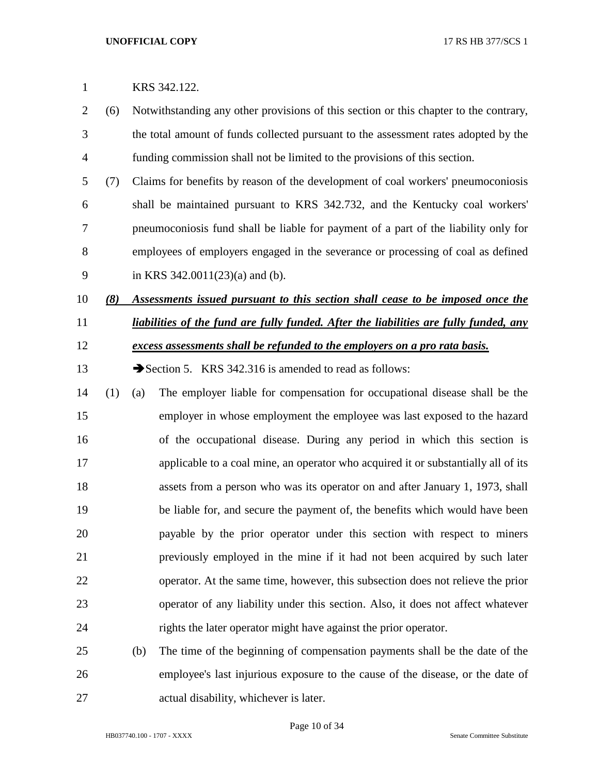# KRS 342.122.

- (6) Notwithstanding any other provisions of this section or this chapter to the contrary, the total amount of funds collected pursuant to the assessment rates adopted by the funding commission shall not be limited to the provisions of this section.
- (7) Claims for benefits by reason of the development of coal workers' pneumoconiosis shall be maintained pursuant to KRS 342.732, and the Kentucky coal workers' pneumoconiosis fund shall be liable for payment of a part of the liability only for employees of employers engaged in the severance or processing of coal as defined in KRS 342.0011(23)(a) and (b).

# *(8) Assessments issued pursuant to this section shall cease to be imposed once the liabilities of the fund are fully funded. After the liabilities are fully funded, any excess assessments shall be refunded to the employers on a pro rata basis.*

- 13 Section 5. KRS 342.316 is amended to read as follows:
- (1) (a) The employer liable for compensation for occupational disease shall be the employer in whose employment the employee was last exposed to the hazard of the occupational disease. During any period in which this section is applicable to a coal mine, an operator who acquired it or substantially all of its assets from a person who was its operator on and after January 1, 1973, shall be liable for, and secure the payment of, the benefits which would have been payable by the prior operator under this section with respect to miners previously employed in the mine if it had not been acquired by such later operator. At the same time, however, this subsection does not relieve the prior operator of any liability under this section. Also, it does not affect whatever rights the later operator might have against the prior operator.

# (b) The time of the beginning of compensation payments shall be the date of the employee's last injurious exposure to the cause of the disease, or the date of actual disability, whichever is later.

Page 10 of 34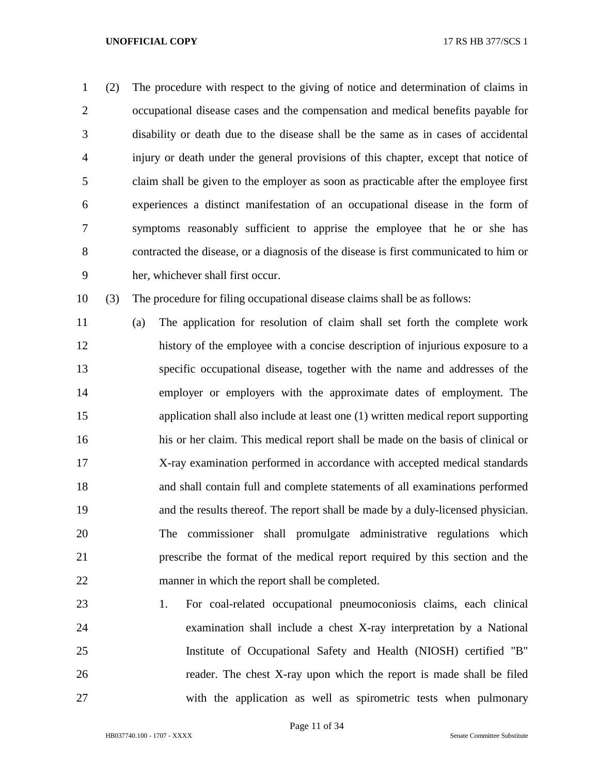(2) The procedure with respect to the giving of notice and determination of claims in occupational disease cases and the compensation and medical benefits payable for disability or death due to the disease shall be the same as in cases of accidental injury or death under the general provisions of this chapter, except that notice of claim shall be given to the employer as soon as practicable after the employee first experiences a distinct manifestation of an occupational disease in the form of symptoms reasonably sufficient to apprise the employee that he or she has contracted the disease, or a diagnosis of the disease is first communicated to him or her, whichever shall first occur.

(3) The procedure for filing occupational disease claims shall be as follows:

 (a) The application for resolution of claim shall set forth the complete work history of the employee with a concise description of injurious exposure to a specific occupational disease, together with the name and addresses of the employer or employers with the approximate dates of employment. The application shall also include at least one (1) written medical report supporting his or her claim. This medical report shall be made on the basis of clinical or X-ray examination performed in accordance with accepted medical standards and shall contain full and complete statements of all examinations performed and the results thereof. The report shall be made by a duly-licensed physician. The commissioner shall promulgate administrative regulations which prescribe the format of the medical report required by this section and the manner in which the report shall be completed.

 1. For coal-related occupational pneumoconiosis claims, each clinical examination shall include a chest X-ray interpretation by a National Institute of Occupational Safety and Health (NIOSH) certified "B" reader. The chest X-ray upon which the report is made shall be filed with the application as well as spirometric tests when pulmonary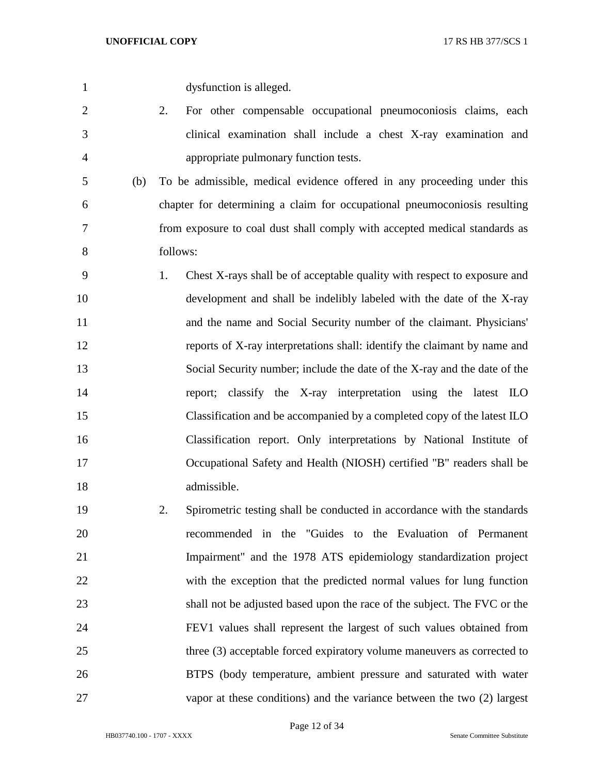| $\mathbf{1}$   | dysfunction is alleged.                                                        |
|----------------|--------------------------------------------------------------------------------|
| $\overline{2}$ | 2.<br>For other compensable occupational pneumoconiosis claims, each           |
| 3              | clinical examination shall include a chest X-ray examination and               |
| 4              | appropriate pulmonary function tests.                                          |
| (b)<br>5       | To be admissible, medical evidence offered in any proceeding under this        |
| 6              | chapter for determining a claim for occupational pneumoconiosis resulting      |
| 7              | from exposure to coal dust shall comply with accepted medical standards as     |
| 8              | follows:                                                                       |
| 9              | 1.<br>Chest X-rays shall be of acceptable quality with respect to exposure and |
| 10             | development and shall be indelibly labeled with the date of the X-ray          |
| 11             | and the name and Social Security number of the claimant. Physicians'           |
| 12             | reports of X-ray interpretations shall: identify the claimant by name and      |
| 13             | Social Security number; include the date of the X-ray and the date of the      |
| 14             | classify the X-ray interpretation using the latest ILO<br>report;              |
| 15             | Classification and be accompanied by a completed copy of the latest ILO        |
| 16             | Classification report. Only interpretations by National Institute of           |
| 17             | Occupational Safety and Health (NIOSH) certified "B" readers shall be          |
| 18             | admissible.                                                                    |
| 19             | Spirometric testing shall be conducted in accordance with the standards<br>2.  |
| 20             | recommended in the "Guides to the Evaluation of Permanent                      |
| 21             | Impairment" and the 1978 ATS epidemiology standardization project              |
| 22             | with the exception that the predicted normal values for lung function          |
| 23             | shall not be adjusted based upon the race of the subject. The FVC or the       |
| 24             | FEV1 values shall represent the largest of such values obtained from           |
| 25             | three (3) acceptable forced expiratory volume maneuvers as corrected to        |
| 26             | BTPS (body temperature, ambient pressure and saturated with water              |

HB037740.100 - 1707 - XXXX Senate Committee Substitute

Page 12 of 34

vapor at these conditions) and the variance between the two (2) largest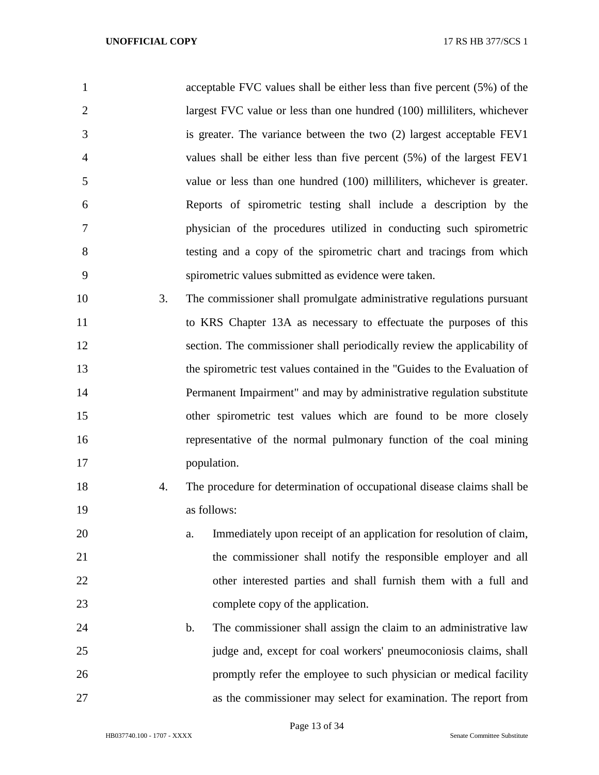| $\mathbf{1}$   | acceptable FVC values shall be either less than five percent (5%) of the  |
|----------------|---------------------------------------------------------------------------|
| $\overline{2}$ | largest FVC value or less than one hundred (100) milliliters, whichever   |
| 3              | is greater. The variance between the two (2) largest acceptable FEV1      |
| $\overline{4}$ | values shall be either less than five percent $(5%)$ of the largest FEV1  |
| 5              | value or less than one hundred (100) milliliters, whichever is greater.   |
| 6              | Reports of spirometric testing shall include a description by the         |
| 7              | physician of the procedures utilized in conducting such spirometric       |
| 8              | testing and a copy of the spirometric chart and tracings from which       |
| 9              | spirometric values submitted as evidence were taken.                      |
| 10<br>3.       | The commissioner shall promulgate administrative regulations pursuant     |
| 11             | to KRS Chapter 13A as necessary to effectuate the purposes of this        |
| 12             | section. The commissioner shall periodically review the applicability of  |
| 13             | the spirometric test values contained in the "Guides to the Evaluation of |
| 14             | Permanent Impairment" and may by administrative regulation substitute     |
| 15             | other spirometric test values which are found to be more closely          |
| 16             | representative of the normal pulmonary function of the coal mining        |
| 17             | population.                                                               |
| 18<br>4.       | The procedure for determination of occupational disease claims shall be   |
| 19             | as follows:                                                               |
| 20             | Immediately upon receipt of an application for resolution of claim,<br>a. |
| 21             | the commissioner shall notify the responsible employer and all            |
| 22             | other interested parties and shall furnish them with a full and           |
| 23             | complete copy of the application.                                         |
| 24             | The commissioner shall assign the claim to an administrative law<br>b.    |
| 25             | judge and, except for coal workers' pneumoconiosis claims, shall          |
| 26             | promptly refer the employee to such physician or medical facility         |
| 27             | as the commissioner may select for examination. The report from           |

Page 13 of 34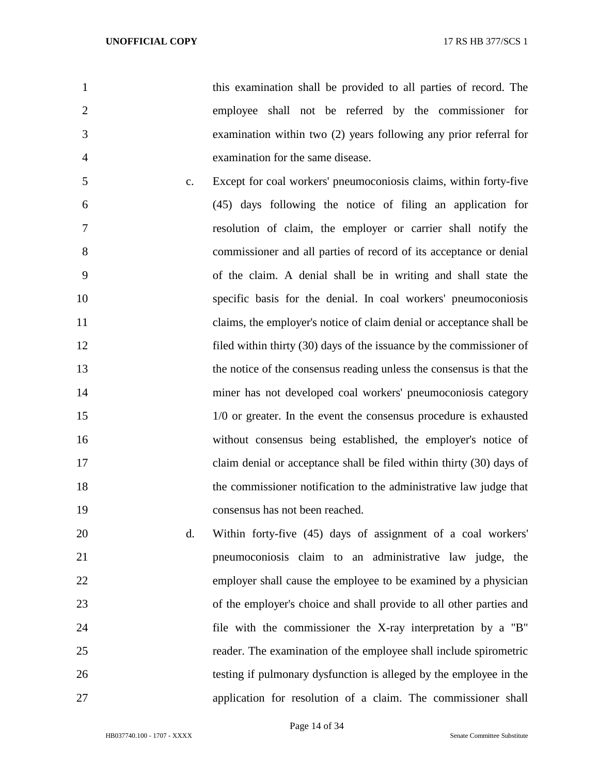this examination shall be provided to all parties of record. The employee shall not be referred by the commissioner for examination within two (2) years following any prior referral for examination for the same disease.

- c. Except for coal workers' pneumoconiosis claims, within forty-five (45) days following the notice of filing an application for resolution of claim, the employer or carrier shall notify the commissioner and all parties of record of its acceptance or denial of the claim. A denial shall be in writing and shall state the specific basis for the denial. In coal workers' pneumoconiosis claims, the employer's notice of claim denial or acceptance shall be filed within thirty (30) days of the issuance by the commissioner of the notice of the consensus reading unless the consensus is that the miner has not developed coal workers' pneumoconiosis category 1/0 or greater. In the event the consensus procedure is exhausted without consensus being established, the employer's notice of claim denial or acceptance shall be filed within thirty (30) days of the commissioner notification to the administrative law judge that consensus has not been reached.
- d. Within forty-five (45) days of assignment of a coal workers' pneumoconiosis claim to an administrative law judge, the employer shall cause the employee to be examined by a physician of the employer's choice and shall provide to all other parties and file with the commissioner the X-ray interpretation by a "B" reader. The examination of the employee shall include spirometric testing if pulmonary dysfunction is alleged by the employee in the application for resolution of a claim. The commissioner shall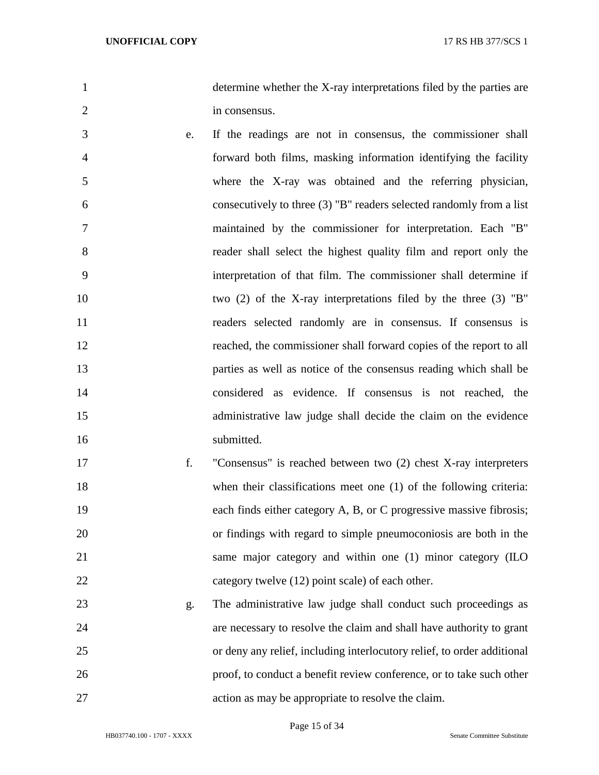determine whether the X-ray interpretations filed by the parties are in consensus.

- e. If the readings are not in consensus, the commissioner shall forward both films, masking information identifying the facility where the X-ray was obtained and the referring physician, consecutively to three (3) "B" readers selected randomly from a list maintained by the commissioner for interpretation. Each "B" reader shall select the highest quality film and report only the interpretation of that film. The commissioner shall determine if two (2) of the X-ray interpretations filed by the three (3) "B" readers selected randomly are in consensus. If consensus is reached, the commissioner shall forward copies of the report to all parties as well as notice of the consensus reading which shall be considered as evidence. If consensus is not reached, the administrative law judge shall decide the claim on the evidence 16 submitted.
- f. "Consensus" is reached between two (2) chest X-ray interpreters 18 when their classifications meet one (1) of the following criteria: 19 each finds either category A, B, or C progressive massive fibrosis; or findings with regard to simple pneumoconiosis are both in the 21 same major category and within one (1) minor category (ILO 22 category twelve (12) point scale) of each other.
- g. The administrative law judge shall conduct such proceedings as are necessary to resolve the claim and shall have authority to grant or deny any relief, including interlocutory relief, to order additional proof, to conduct a benefit review conference, or to take such other action as may be appropriate to resolve the claim.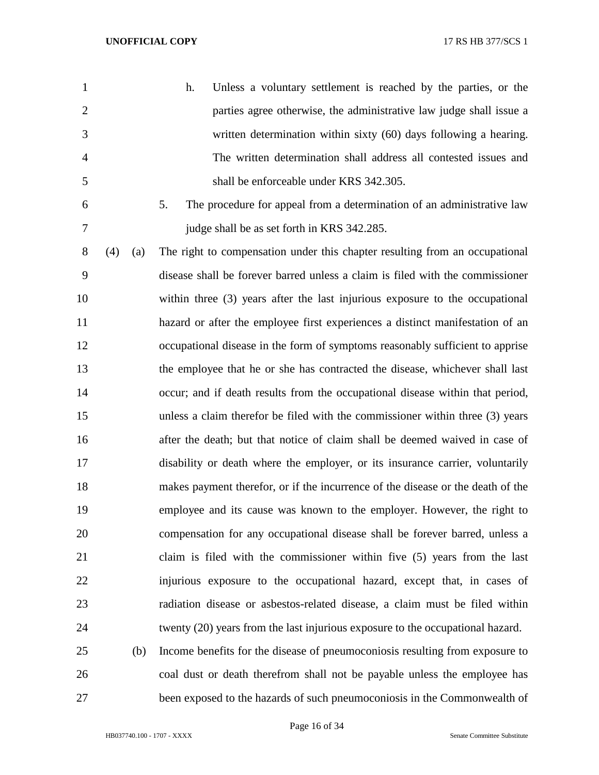| $\mathbf{1}$   |     |     | h.<br>Unless a voluntary settlement is reached by the parties, or the           |
|----------------|-----|-----|---------------------------------------------------------------------------------|
| $\overline{2}$ |     |     | parties agree otherwise, the administrative law judge shall issue a             |
| 3              |     |     | written determination within sixty (60) days following a hearing.               |
| 4              |     |     | The written determination shall address all contested issues and                |
| 5              |     |     | shall be enforceable under KRS 342.305.                                         |
| 6              |     |     | 5.<br>The procedure for appeal from a determination of an administrative law    |
| 7              |     |     | judge shall be as set forth in KRS 342.285.                                     |
| 8              | (4) | (a) | The right to compensation under this chapter resulting from an occupational     |
| 9              |     |     | disease shall be forever barred unless a claim is filed with the commissioner   |
| 10             |     |     | within three (3) years after the last injurious exposure to the occupational    |
| 11             |     |     | hazard or after the employee first experiences a distinct manifestation of an   |
| 12             |     |     | occupational disease in the form of symptoms reasonably sufficient to apprise   |
| 13             |     |     | the employee that he or she has contracted the disease, whichever shall last    |
| 14             |     |     | occur; and if death results from the occupational disease within that period,   |
| 15             |     |     | unless a claim therefor be filed with the commissioner within three (3) years   |
| 16             |     |     | after the death; but that notice of claim shall be deemed waived in case of     |
| 17             |     |     | disability or death where the employer, or its insurance carrier, voluntarily   |
| 18             |     |     | makes payment therefor, or if the incurrence of the disease or the death of the |
| 19             |     |     | employee and its cause was known to the employer. However, the right to         |
| 20             |     |     | compensation for any occupational disease shall be forever barred, unless a     |
| 21             |     |     | claim is filed with the commissioner within five (5) years from the last        |
| 22             |     |     | injurious exposure to the occupational hazard, except that, in cases of         |
| 23             |     |     | radiation disease or asbestos-related disease, a claim must be filed within     |
| 24             |     |     | twenty (20) years from the last injurious exposure to the occupational hazard.  |
| 25             |     | (b) | Income benefits for the disease of pneumoconiosis resulting from exposure to    |
| 26             |     |     | coal dust or death therefrom shall not be payable unless the employee has       |
| 27             |     |     | been exposed to the hazards of such pneumoconiosis in the Commonwealth of       |

Page 16 of 34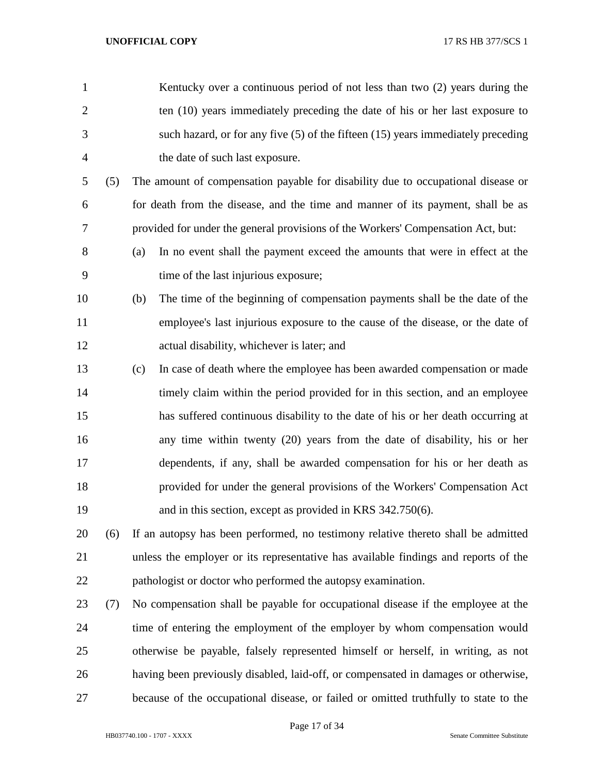| $\mathbf{1}$   |     | Kentucky over a continuous period of not less than two (2) years during the          |
|----------------|-----|--------------------------------------------------------------------------------------|
| $\overline{2}$ |     | ten (10) years immediately preceding the date of his or her last exposure to         |
| 3              |     | such hazard, or for any five $(5)$ of the fifteen $(15)$ years immediately preceding |
| $\overline{4}$ |     | the date of such last exposure.                                                      |
| 5              | (5) | The amount of compensation payable for disability due to occupational disease or     |
| 6              |     | for death from the disease, and the time and manner of its payment, shall be as      |
| 7              |     | provided for under the general provisions of the Workers' Compensation Act, but:     |
| 8              |     | In no event shall the payment exceed the amounts that were in effect at the<br>(a)   |
| 9              |     | time of the last injurious exposure;                                                 |
| 10             |     | The time of the beginning of compensation payments shall be the date of the<br>(b)   |
| 11             |     | employee's last injurious exposure to the cause of the disease, or the date of       |
| 12             |     | actual disability, whichever is later; and                                           |
| 13             |     | In case of death where the employee has been awarded compensation or made<br>(c)     |
| 14             |     | timely claim within the period provided for in this section, and an employee         |
| 15             |     | has suffered continuous disability to the date of his or her death occurring at      |
| 16             |     | any time within twenty (20) years from the date of disability, his or her            |
| 17             |     | dependents, if any, shall be awarded compensation for his or her death as            |
| 18             |     | provided for under the general provisions of the Workers' Compensation Act           |
| 19             |     | and in this section, except as provided in KRS 342.750(6).                           |
| 20             | (6) | If an autopsy has been performed, no testimony relative thereto shall be admitted    |
| 21             |     | unless the employer or its representative has available findings and reports of the  |
| 22             |     | pathologist or doctor who performed the autopsy examination.                         |
| 23             | (7) | No compensation shall be payable for occupational disease if the employee at the     |
| 24             |     | time of entering the employment of the employer by whom compensation would           |
| 25             |     | otherwise be payable, falsely represented himself or herself, in writing, as not     |
| 26             |     | having been previously disabled, laid-off, or compensated in damages or otherwise,   |
| 27             |     | because of the occupational disease, or failed or omitted truthfully to state to the |
|                |     |                                                                                      |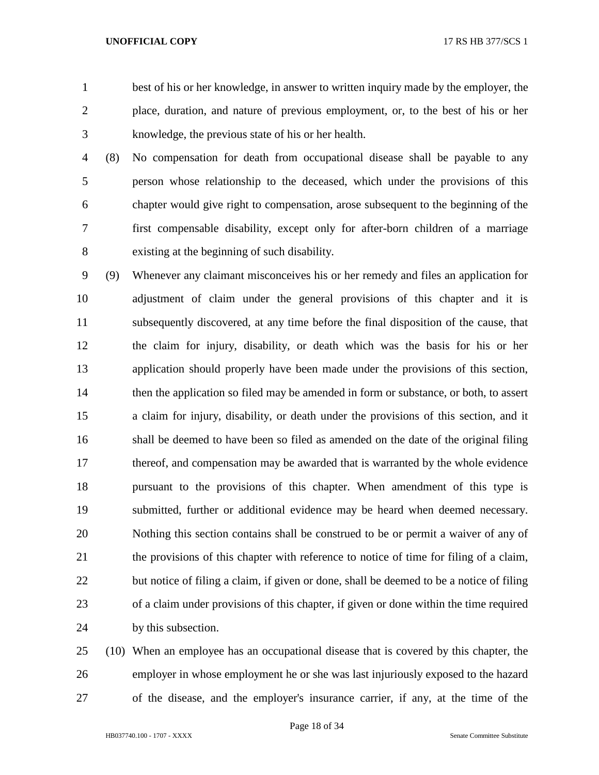best of his or her knowledge, in answer to written inquiry made by the employer, the place, duration, and nature of previous employment, or, to the best of his or her knowledge, the previous state of his or her health.

 (8) No compensation for death from occupational disease shall be payable to any person whose relationship to the deceased, which under the provisions of this chapter would give right to compensation, arose subsequent to the beginning of the first compensable disability, except only for after-born children of a marriage existing at the beginning of such disability.

 (9) Whenever any claimant misconceives his or her remedy and files an application for adjustment of claim under the general provisions of this chapter and it is subsequently discovered, at any time before the final disposition of the cause, that the claim for injury, disability, or death which was the basis for his or her application should properly have been made under the provisions of this section, 14 then the application so filed may be amended in form or substance, or both, to assert a claim for injury, disability, or death under the provisions of this section, and it shall be deemed to have been so filed as amended on the date of the original filing thereof, and compensation may be awarded that is warranted by the whole evidence pursuant to the provisions of this chapter. When amendment of this type is submitted, further or additional evidence may be heard when deemed necessary. Nothing this section contains shall be construed to be or permit a waiver of any of 21 the provisions of this chapter with reference to notice of time for filing of a claim, 22 but notice of filing a claim, if given or done, shall be deemed to be a notice of filing of a claim under provisions of this chapter, if given or done within the time required by this subsection.

 (10) When an employee has an occupational disease that is covered by this chapter, the employer in whose employment he or she was last injuriously exposed to the hazard of the disease, and the employer's insurance carrier, if any, at the time of the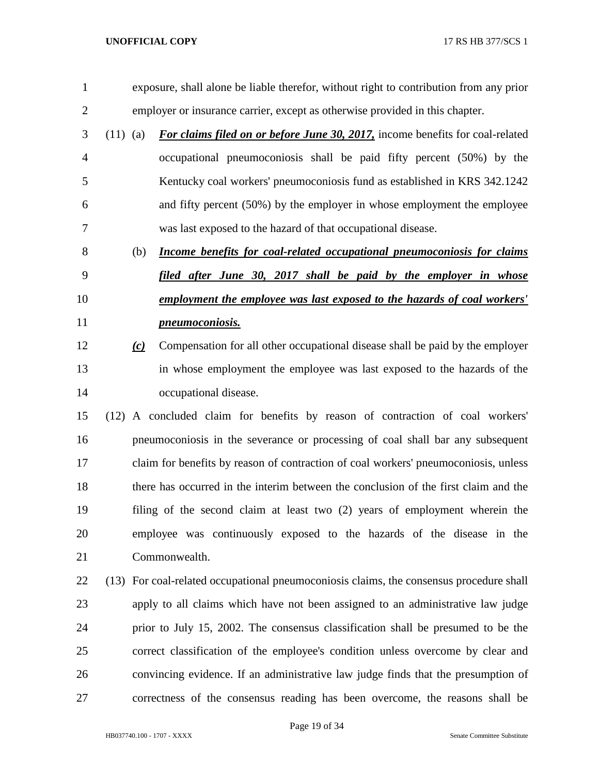exposure, shall alone be liable therefor, without right to contribution from any prior employer or insurance carrier, except as otherwise provided in this chapter. (11) (a) *For claims filed on or before June 30, 2017,* income benefits for coal-related occupational pneumoconiosis shall be paid fifty percent (50%) by the Kentucky coal workers' pneumoconiosis fund as established in KRS 342.1242 and fifty percent (50%) by the employer in whose employment the employee was last exposed to the hazard of that occupational disease. (b) *Income benefits for coal-related occupational pneumoconiosis for claims filed after June 30, 2017 shall be paid by the employer in whose employment the employee was last exposed to the hazards of coal workers' pneumoconiosis. (c)* Compensation for all other occupational disease shall be paid by the employer in whose employment the employee was last exposed to the hazards of the occupational disease. (12) A concluded claim for benefits by reason of contraction of coal workers' pneumoconiosis in the severance or processing of coal shall bar any subsequent claim for benefits by reason of contraction of coal workers' pneumoconiosis, unless there has occurred in the interim between the conclusion of the first claim and the filing of the second claim at least two (2) years of employment wherein the employee was continuously exposed to the hazards of the disease in the Commonwealth. (13) For coal-related occupational pneumoconiosis claims, the consensus procedure shall apply to all claims which have not been assigned to an administrative law judge prior to July 15, 2002. The consensus classification shall be presumed to be the correct classification of the employee's condition unless overcome by clear and convincing evidence. If an administrative law judge finds that the presumption of correctness of the consensus reading has been overcome, the reasons shall be

Page 19 of 34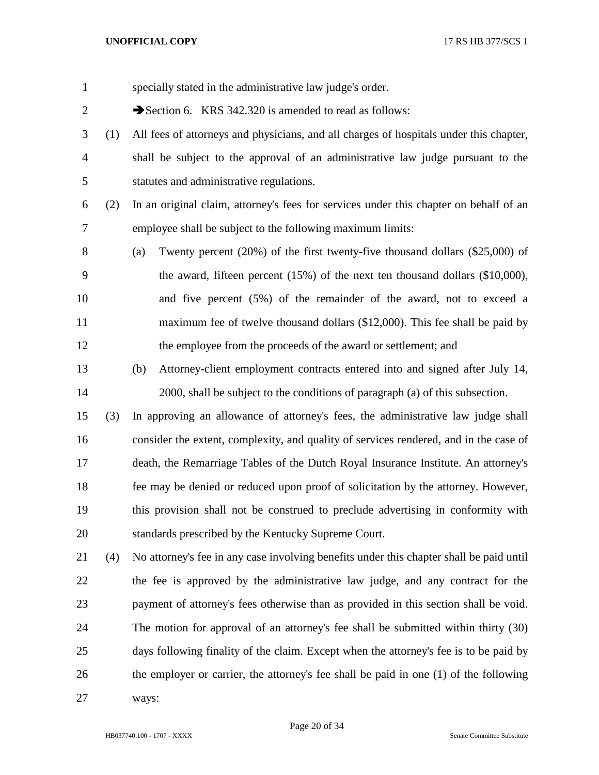| $\mathbf{1}$   |     | specially stated in the administrative law judge's order.                                |
|----------------|-----|------------------------------------------------------------------------------------------|
| $\mathbf{2}$   |     | Section 6. KRS 342.320 is amended to read as follows:                                    |
| 3              | (1) | All fees of attorneys and physicians, and all charges of hospitals under this chapter,   |
| $\overline{4}$ |     | shall be subject to the approval of an administrative law judge pursuant to the          |
| 5              |     | statutes and administrative regulations.                                                 |
| 6              | (2) | In an original claim, attorney's fees for services under this chapter on behalf of an    |
| 7              |     | employee shall be subject to the following maximum limits:                               |
| 8              |     | Twenty percent $(20\%)$ of the first twenty-five thousand dollars $(\$25,000)$ of<br>(a) |
| 9              |     | the award, fifteen percent $(15%)$ of the next ten thousand dollars $(\$10,000)$ ,       |
| 10             |     | and five percent (5%) of the remainder of the award, not to exceed a                     |
| 11             |     | maximum fee of twelve thousand dollars (\$12,000). This fee shall be paid by             |
| 12             |     | the employee from the proceeds of the award or settlement; and                           |
| 13             |     | (b)<br>Attorney-client employment contracts entered into and signed after July 14,       |
| 14             |     | 2000, shall be subject to the conditions of paragraph (a) of this subsection.            |
| 15             | (3) | In approving an allowance of attorney's fees, the administrative law judge shall         |
| 16             |     | consider the extent, complexity, and quality of services rendered, and in the case of    |
| 17             |     | death, the Remarriage Tables of the Dutch Royal Insurance Institute. An attorney's       |
| 18             |     | fee may be denied or reduced upon proof of solicitation by the attorney. However,        |
| 19             |     | this provision shall not be construed to preclude advertising in conformity with         |
| 20             |     | standards prescribed by the Kentucky Supreme Court.                                      |
| 21             | (4) | No attorney's fee in any case involving benefits under this chapter shall be paid until  |
| 22             |     | the fee is approved by the administrative law judge, and any contract for the            |
| 23             |     | payment of attorney's fees otherwise than as provided in this section shall be void.     |
| 24             |     | The motion for approval of an attorney's fee shall be submitted within thirty (30)       |
| 25             |     | days following finality of the claim. Except when the attorney's fee is to be paid by    |
| 26             |     | the employer or carrier, the attorney's fee shall be paid in one (1) of the following    |
| 27             |     | ways:                                                                                    |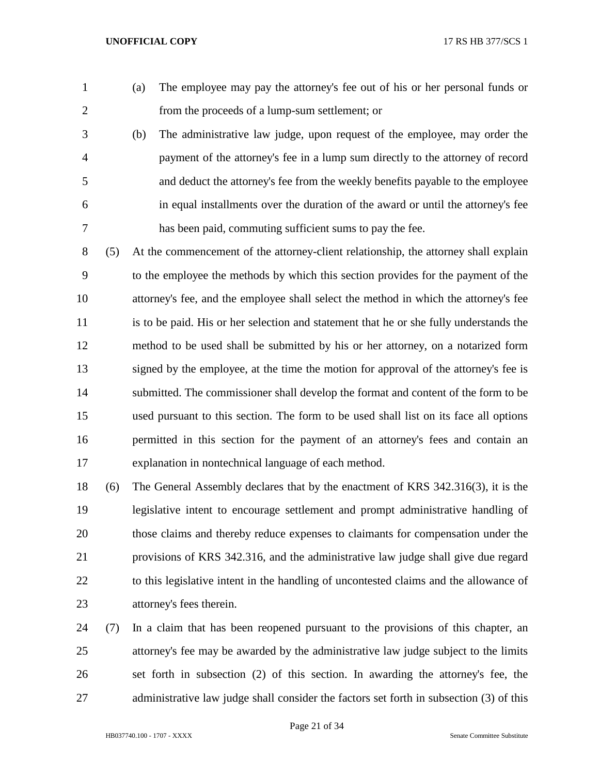(a) The employee may pay the attorney's fee out of his or her personal funds or from the proceeds of a lump-sum settlement; or

 (b) The administrative law judge, upon request of the employee, may order the payment of the attorney's fee in a lump sum directly to the attorney of record and deduct the attorney's fee from the weekly benefits payable to the employee in equal installments over the duration of the award or until the attorney's fee has been paid, commuting sufficient sums to pay the fee.

 (5) At the commencement of the attorney-client relationship, the attorney shall explain to the employee the methods by which this section provides for the payment of the attorney's fee, and the employee shall select the method in which the attorney's fee is to be paid. His or her selection and statement that he or she fully understands the method to be used shall be submitted by his or her attorney, on a notarized form signed by the employee, at the time the motion for approval of the attorney's fee is submitted. The commissioner shall develop the format and content of the form to be used pursuant to this section. The form to be used shall list on its face all options permitted in this section for the payment of an attorney's fees and contain an explanation in nontechnical language of each method.

 (6) The General Assembly declares that by the enactment of KRS 342.316(3), it is the legislative intent to encourage settlement and prompt administrative handling of those claims and thereby reduce expenses to claimants for compensation under the provisions of KRS 342.316, and the administrative law judge shall give due regard to this legislative intent in the handling of uncontested claims and the allowance of attorney's fees therein.

 (7) In a claim that has been reopened pursuant to the provisions of this chapter, an attorney's fee may be awarded by the administrative law judge subject to the limits set forth in subsection (2) of this section. In awarding the attorney's fee, the 27 administrative law judge shall consider the factors set forth in subsection (3) of this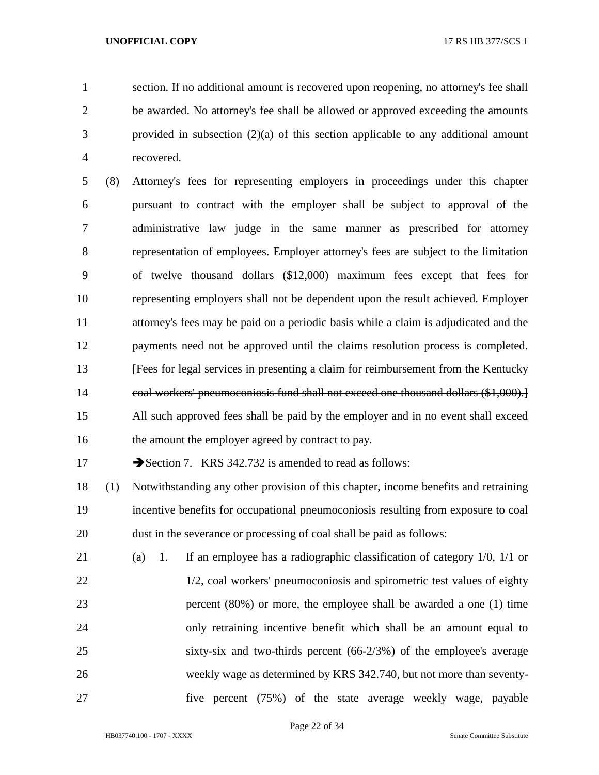section. If no additional amount is recovered upon reopening, no attorney's fee shall be awarded. No attorney's fee shall be allowed or approved exceeding the amounts provided in subsection (2)(a) of this section applicable to any additional amount recovered.

 (8) Attorney's fees for representing employers in proceedings under this chapter pursuant to contract with the employer shall be subject to approval of the administrative law judge in the same manner as prescribed for attorney representation of employees. Employer attorney's fees are subject to the limitation of twelve thousand dollars (\$12,000) maximum fees except that fees for representing employers shall not be dependent upon the result achieved. Employer attorney's fees may be paid on a periodic basis while a claim is adjudicated and the payments need not be approved until the claims resolution process is completed. **Fees for legal services in presenting a claim for reimbursement from the Kentucky**  coal workers' pneumoconiosis fund shall not exceed one thousand dollars (\$1,000).] All such approved fees shall be paid by the employer and in no event shall exceed 16 the amount the employer agreed by contract to pay.

17 Section 7. KRS 342.732 is amended to read as follows:

 (1) Notwithstanding any other provision of this chapter, income benefits and retraining incentive benefits for occupational pneumoconiosis resulting from exposure to coal dust in the severance or processing of coal shall be paid as follows:

 (a) 1. If an employee has a radiographic classification of category 1/0, 1/1 or 22 1/2, coal workers' pneumoconiosis and spirometric test values of eighty percent (80%) or more, the employee shall be awarded a one (1) time only retraining incentive benefit which shall be an amount equal to sixty-six and two-thirds percent (66-2/3%) of the employee's average weekly wage as determined by KRS 342.740, but not more than seventy-five percent (75%) of the state average weekly wage, payable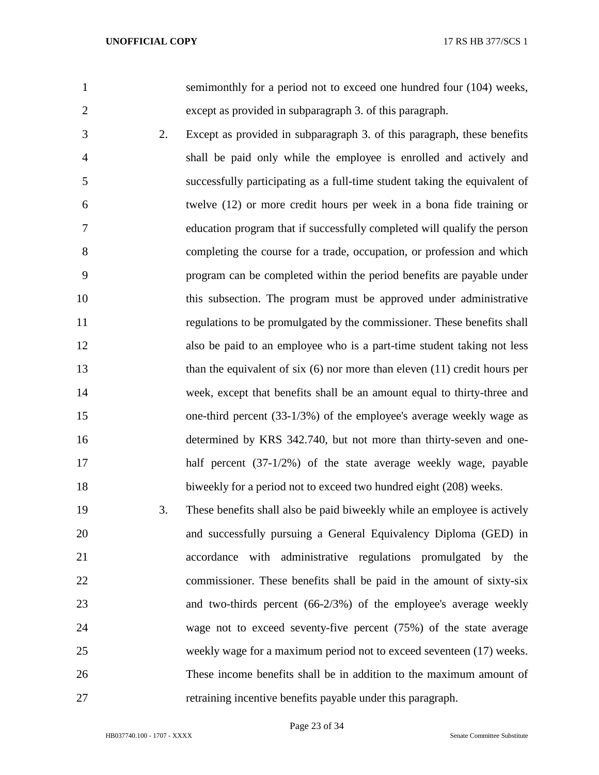| í                        |
|--------------------------|
|                          |
|                          |
|                          |
|                          |
|                          |
|                          |
| $\overline{\phantom{a}}$ |

 semimonthly for a period not to exceed one hundred four (104) weeks, except as provided in subparagraph 3. of this paragraph.

- 2. Except as provided in subparagraph 3. of this paragraph, these benefits shall be paid only while the employee is enrolled and actively and successfully participating as a full-time student taking the equivalent of twelve (12) or more credit hours per week in a bona fide training or education program that if successfully completed will qualify the person completing the course for a trade, occupation, or profession and which program can be completed within the period benefits are payable under this subsection. The program must be approved under administrative regulations to be promulgated by the commissioner. These benefits shall also be paid to an employee who is a part-time student taking not less 13 than the equivalent of six (6) nor more than eleven (11) credit hours per week, except that benefits shall be an amount equal to thirty-three and one-third percent (33-1/3%) of the employee's average weekly wage as determined by KRS 342.740, but not more than thirty-seven and one- half percent (37-1/2%) of the state average weekly wage, payable 18 biweekly for a period not to exceed two hundred eight (208) weeks.
- 3. These benefits shall also be paid biweekly while an employee is actively and successfully pursuing a General Equivalency Diploma (GED) in accordance with administrative regulations promulgated by the commissioner. These benefits shall be paid in the amount of sixty-six and two-thirds percent (66-2/3%) of the employee's average weekly wage not to exceed seventy-five percent (75%) of the state average weekly wage for a maximum period not to exceed seventeen (17) weeks. These income benefits shall be in addition to the maximum amount of retraining incentive benefits payable under this paragraph.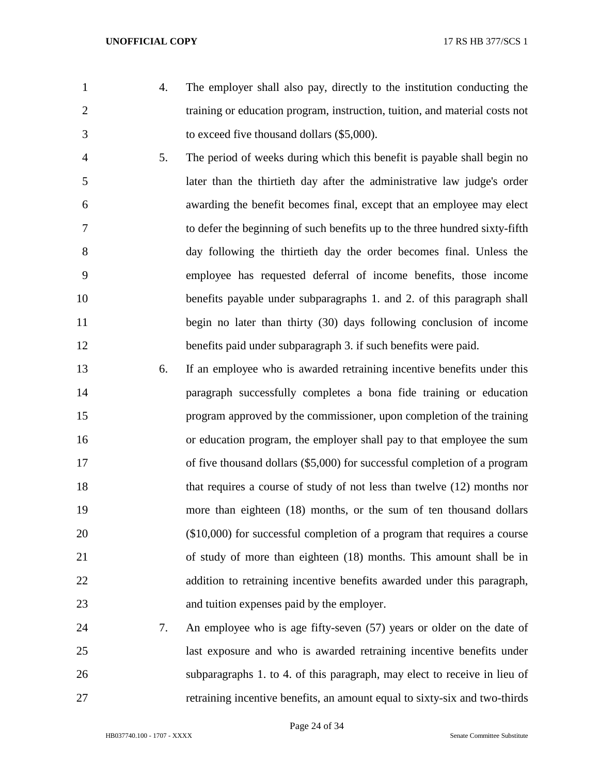- 
- 4. The employer shall also pay, directly to the institution conducting the training or education program, instruction, tuition, and material costs not to exceed five thousand dollars (\$5,000).
- 5. The period of weeks during which this benefit is payable shall begin no later than the thirtieth day after the administrative law judge's order awarding the benefit becomes final, except that an employee may elect to defer the beginning of such benefits up to the three hundred sixty-fifth day following the thirtieth day the order becomes final. Unless the employee has requested deferral of income benefits, those income 10 benefits payable under subparagraphs 1. and 2. of this paragraph shall 11 begin no later than thirty (30) days following conclusion of income benefits paid under subparagraph 3. if such benefits were paid.
- 6. If an employee who is awarded retraining incentive benefits under this paragraph successfully completes a bona fide training or education program approved by the commissioner, upon completion of the training or education program, the employer shall pay to that employee the sum 17 of five thousand dollars (\$5,000) for successful completion of a program that requires a course of study of not less than twelve (12) months nor more than eighteen (18) months, or the sum of ten thousand dollars (\$10,000) for successful completion of a program that requires a course of study of more than eighteen (18) months. This amount shall be in addition to retraining incentive benefits awarded under this paragraph, and tuition expenses paid by the employer.
- 7. An employee who is age fifty-seven (57) years or older on the date of last exposure and who is awarded retraining incentive benefits under subparagraphs 1. to 4. of this paragraph, may elect to receive in lieu of retraining incentive benefits, an amount equal to sixty-six and two-thirds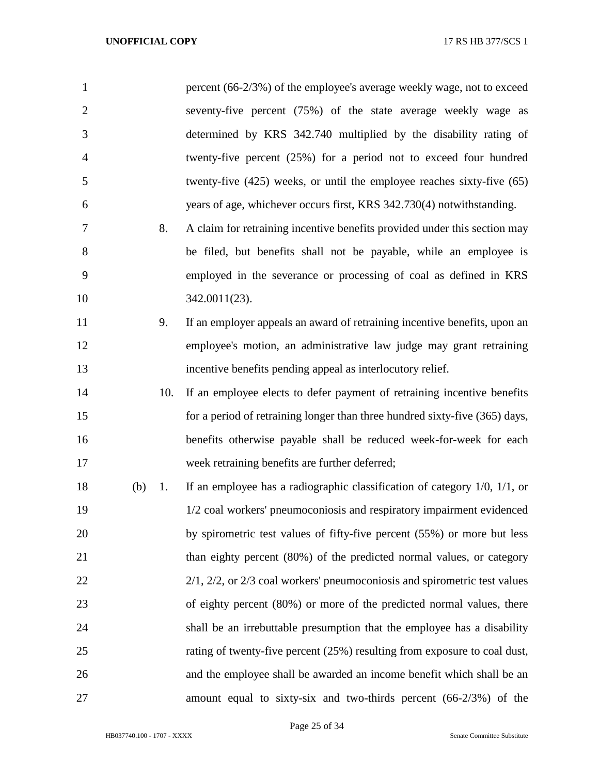| $\mathbf{1}$   |     |     | percent (66-2/3%) of the employee's average weekly wage, not to exceed            |
|----------------|-----|-----|-----------------------------------------------------------------------------------|
| $\overline{2}$ |     |     | seventy-five percent (75%) of the state average weekly wage as                    |
| 3              |     |     | determined by KRS 342.740 multiplied by the disability rating of                  |
| $\overline{4}$ |     |     | twenty-five percent (25%) for a period not to exceed four hundred                 |
| 5              |     |     | twenty-five $(425)$ weeks, or until the employee reaches sixty-five $(65)$        |
| 6              |     |     | years of age, whichever occurs first, KRS 342.730(4) notwithstanding.             |
| 7              |     | 8.  | A claim for retraining incentive benefits provided under this section may         |
| 8              |     |     | be filed, but benefits shall not be payable, while an employee is                 |
| 9              |     |     | employed in the severance or processing of coal as defined in KRS                 |
| 10             |     |     | 342.0011(23).                                                                     |
| 11             |     | 9.  | If an employer appeals an award of retraining incentive benefits, upon an         |
| 12             |     |     | employee's motion, an administrative law judge may grant retraining               |
| 13             |     |     | incentive benefits pending appeal as interlocutory relief.                        |
| 14             |     | 10. | If an employee elects to defer payment of retraining incentive benefits           |
| 15             |     |     | for a period of retraining longer than three hundred sixty-five (365) days,       |
| 16             |     |     | benefits otherwise payable shall be reduced week-for-week for each                |
| 17             |     |     | week retraining benefits are further deferred;                                    |
| 18             | (b) | 1.  | If an employee has a radiographic classification of category $1/0$ , $1/1$ , or   |
| 19             |     |     | 1/2 coal workers' pneumoconiosis and respiratory impairment evidenced             |
| 20             |     |     | by spirometric test values of fifty-five percent (55%) or more but less           |
| 21             |     |     | than eighty percent (80%) of the predicted normal values, or category             |
| 22             |     |     | $2/1$ , $2/2$ , or $2/3$ coal workers' pneumoconiosis and spirometric test values |
| 23             |     |     | of eighty percent (80%) or more of the predicted normal values, there             |
| 24             |     |     | shall be an irrebuttable presumption that the employee has a disability           |
| 25             |     |     | rating of twenty-five percent (25%) resulting from exposure to coal dust,         |
| 26             |     |     | and the employee shall be awarded an income benefit which shall be an             |
| 27             |     |     | amount equal to sixty-six and two-thirds percent $(66-2/3%)$ of the               |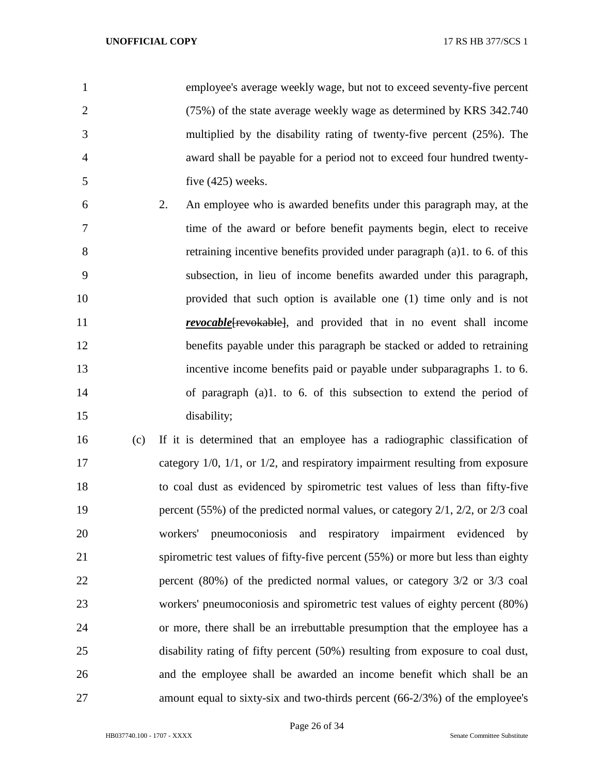employee's average weekly wage, but not to exceed seventy-five percent (75%) of the state average weekly wage as determined by KRS 342.740 multiplied by the disability rating of twenty-five percent (25%). The award shall be payable for a period not to exceed four hundred twenty-five (425) weeks.

 2. An employee who is awarded benefits under this paragraph may, at the time of the award or before benefit payments begin, elect to receive retraining incentive benefits provided under paragraph (a)1. to 6. of this subsection, in lieu of income benefits awarded under this paragraph, provided that such option is available one (1) time only and is not *revocable* [*revokable*], and provided that in no event shall income benefits payable under this paragraph be stacked or added to retraining incentive income benefits paid or payable under subparagraphs 1. to 6. of paragraph (a)1. to 6. of this subsection to extend the period of disability;

 (c) If it is determined that an employee has a radiographic classification of category 1/0, 1/1, or 1/2, and respiratory impairment resulting from exposure to coal dust as evidenced by spirometric test values of less than fifty-five 19 percent (55%) of the predicted normal values, or category 2/1, 2/2, or 2/3 coal workers' pneumoconiosis and respiratory impairment evidenced by spirometric test values of fifty-five percent (55%) or more but less than eighty percent (80%) of the predicted normal values, or category 3/2 or 3/3 coal workers' pneumoconiosis and spirometric test values of eighty percent (80%) or more, there shall be an irrebuttable presumption that the employee has a disability rating of fifty percent (50%) resulting from exposure to coal dust, and the employee shall be awarded an income benefit which shall be an amount equal to sixty-six and two-thirds percent (66-2/3%) of the employee's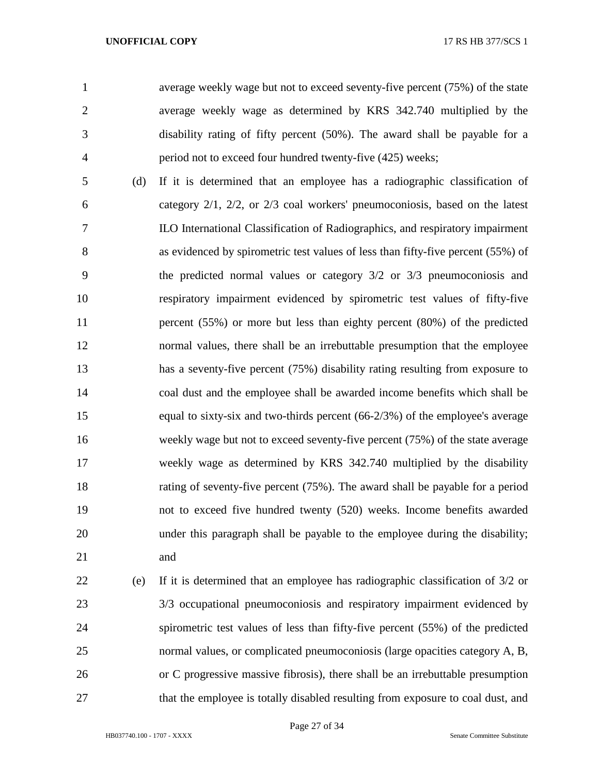average weekly wage but not to exceed seventy-five percent (75%) of the state average weekly wage as determined by KRS 342.740 multiplied by the disability rating of fifty percent (50%). The award shall be payable for a period not to exceed four hundred twenty-five (425) weeks;

 (d) If it is determined that an employee has a radiographic classification of category 2/1, 2/2, or 2/3 coal workers' pneumoconiosis, based on the latest ILO International Classification of Radiographics, and respiratory impairment as evidenced by spirometric test values of less than fifty-five percent (55%) of the predicted normal values or category 3/2 or 3/3 pneumoconiosis and respiratory impairment evidenced by spirometric test values of fifty-five percent (55%) or more but less than eighty percent (80%) of the predicted normal values, there shall be an irrebuttable presumption that the employee has a seventy-five percent (75%) disability rating resulting from exposure to coal dust and the employee shall be awarded income benefits which shall be equal to sixty-six and two-thirds percent (66-2/3%) of the employee's average weekly wage but not to exceed seventy-five percent (75%) of the state average weekly wage as determined by KRS 342.740 multiplied by the disability rating of seventy-five percent (75%). The award shall be payable for a period not to exceed five hundred twenty (520) weeks. Income benefits awarded under this paragraph shall be payable to the employee during the disability; and

 (e) If it is determined that an employee has radiographic classification of 3/2 or 3/3 occupational pneumoconiosis and respiratory impairment evidenced by spirometric test values of less than fifty-five percent (55%) of the predicted normal values, or complicated pneumoconiosis (large opacities category A, B, or C progressive massive fibrosis), there shall be an irrebuttable presumption 27 that the employee is totally disabled resulting from exposure to coal dust, and

Page 27 of 34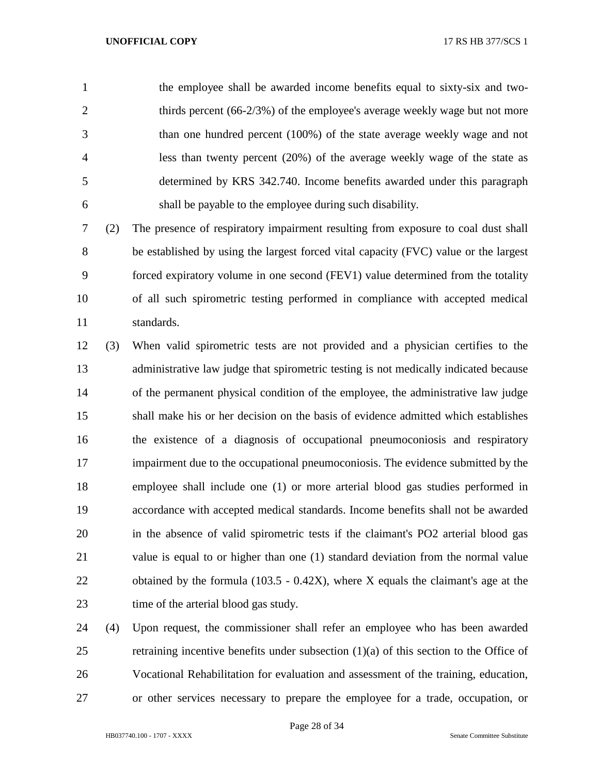the employee shall be awarded income benefits equal to sixty-six and two-2 thirds percent (66-2/3%) of the employee's average weekly wage but not more than one hundred percent (100%) of the state average weekly wage and not less than twenty percent (20%) of the average weekly wage of the state as determined by KRS 342.740. Income benefits awarded under this paragraph shall be payable to the employee during such disability.

 (2) The presence of respiratory impairment resulting from exposure to coal dust shall be established by using the largest forced vital capacity (FVC) value or the largest forced expiratory volume in one second (FEV1) value determined from the totality of all such spirometric testing performed in compliance with accepted medical standards.

 (3) When valid spirometric tests are not provided and a physician certifies to the administrative law judge that spirometric testing is not medically indicated because of the permanent physical condition of the employee, the administrative law judge shall make his or her decision on the basis of evidence admitted which establishes the existence of a diagnosis of occupational pneumoconiosis and respiratory impairment due to the occupational pneumoconiosis. The evidence submitted by the employee shall include one (1) or more arterial blood gas studies performed in accordance with accepted medical standards. Income benefits shall not be awarded in the absence of valid spirometric tests if the claimant's PO2 arterial blood gas value is equal to or higher than one (1) standard deviation from the normal value obtained by the formula (103.5 - 0.42X), where X equals the claimant's age at the 23 time of the arterial blood gas study.

 (4) Upon request, the commissioner shall refer an employee who has been awarded retraining incentive benefits under subsection (1)(a) of this section to the Office of Vocational Rehabilitation for evaluation and assessment of the training, education, or other services necessary to prepare the employee for a trade, occupation, or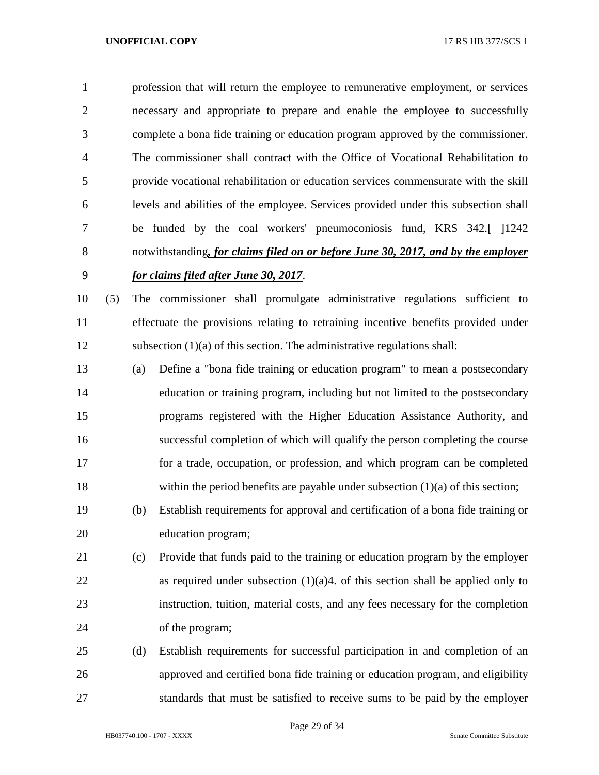profession that will return the employee to remunerative employment, or services necessary and appropriate to prepare and enable the employee to successfully complete a bona fide training or education program approved by the commissioner. The commissioner shall contract with the Office of Vocational Rehabilitation to provide vocational rehabilitation or education services commensurate with the skill levels and abilities of the employee. Services provided under this subsection shall 7 be funded by the coal workers' pneumoconiosis fund, KRS 342.<sup>[1242]</sup> notwithstanding*, for claims filed on or before June 30, 2017, and by the employer for claims filed after June 30, 2017*.

 (5) The commissioner shall promulgate administrative regulations sufficient to effectuate the provisions relating to retraining incentive benefits provided under subsection (1)(a) of this section. The administrative regulations shall:

- (a) Define a "bona fide training or education program" to mean a postsecondary education or training program, including but not limited to the postsecondary programs registered with the Higher Education Assistance Authority, and successful completion of which will qualify the person completing the course for a trade, occupation, or profession, and which program can be completed within the period benefits are payable under subsection (1)(a) of this section;
- (b) Establish requirements for approval and certification of a bona fide training or education program;
- (c) Provide that funds paid to the training or education program by the employer 22 as required under subsection  $(1)(a)$ 4. of this section shall be applied only to instruction, tuition, material costs, and any fees necessary for the completion of the program;
- (d) Establish requirements for successful participation in and completion of an approved and certified bona fide training or education program, and eligibility standards that must be satisfied to receive sums to be paid by the employer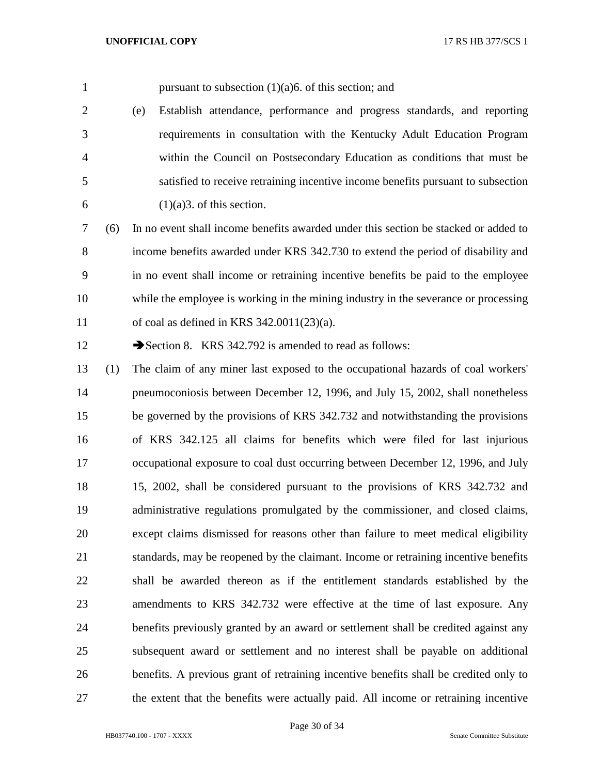1 pursuant to subsection  $(1)(a)$ 6. of this section; and

 (e) Establish attendance, performance and progress standards, and reporting requirements in consultation with the Kentucky Adult Education Program within the Council on Postsecondary Education as conditions that must be satisfied to receive retraining incentive income benefits pursuant to subsection 6 (1)(a)3. of this section.

 (6) In no event shall income benefits awarded under this section be stacked or added to income benefits awarded under KRS 342.730 to extend the period of disability and in no event shall income or retraining incentive benefits be paid to the employee while the employee is working in the mining industry in the severance or processing of coal as defined in KRS 342.0011(23)(a).

12 Section 8. KRS 342.792 is amended to read as follows:

 (1) The claim of any miner last exposed to the occupational hazards of coal workers' pneumoconiosis between December 12, 1996, and July 15, 2002, shall nonetheless be governed by the provisions of KRS 342.732 and notwithstanding the provisions of KRS 342.125 all claims for benefits which were filed for last injurious occupational exposure to coal dust occurring between December 12, 1996, and July 15, 2002, shall be considered pursuant to the provisions of KRS 342.732 and administrative regulations promulgated by the commissioner, and closed claims, except claims dismissed for reasons other than failure to meet medical eligibility standards, may be reopened by the claimant. Income or retraining incentive benefits shall be awarded thereon as if the entitlement standards established by the amendments to KRS 342.732 were effective at the time of last exposure. Any benefits previously granted by an award or settlement shall be credited against any subsequent award or settlement and no interest shall be payable on additional benefits. A previous grant of retraining incentive benefits shall be credited only to the extent that the benefits were actually paid. All income or retraining incentive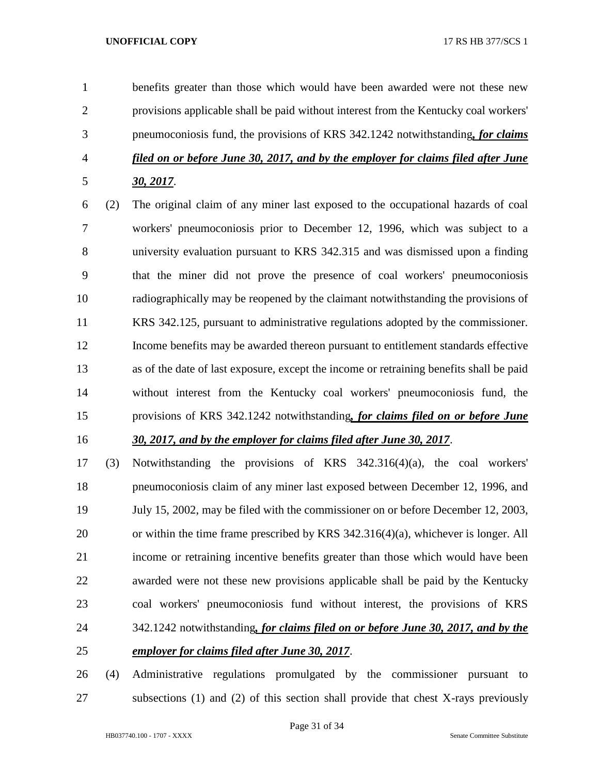benefits greater than those which would have been awarded were not these new provisions applicable shall be paid without interest from the Kentucky coal workers' pneumoconiosis fund, the provisions of KRS 342.1242 notwithstanding*, for claims filed on or before June 30, 2017, and by the employer for claims filed after June 30, 2017*.

 (2) The original claim of any miner last exposed to the occupational hazards of coal workers' pneumoconiosis prior to December 12, 1996, which was subject to a university evaluation pursuant to KRS 342.315 and was dismissed upon a finding that the miner did not prove the presence of coal workers' pneumoconiosis radiographically may be reopened by the claimant notwithstanding the provisions of KRS 342.125, pursuant to administrative regulations adopted by the commissioner. Income benefits may be awarded thereon pursuant to entitlement standards effective as of the date of last exposure, except the income or retraining benefits shall be paid without interest from the Kentucky coal workers' pneumoconiosis fund, the provisions of KRS 342.1242 notwithstanding*, for claims filed on or before June* 

# *30, 2017, and by the employer for claims filed after June 30, 2017*.

 (3) Notwithstanding the provisions of KRS 342.316(4)(a), the coal workers' pneumoconiosis claim of any miner last exposed between December 12, 1996, and July 15, 2002, may be filed with the commissioner on or before December 12, 2003, or within the time frame prescribed by KRS 342.316(4)(a), whichever is longer. All income or retraining incentive benefits greater than those which would have been awarded were not these new provisions applicable shall be paid by the Kentucky coal workers' pneumoconiosis fund without interest, the provisions of KRS 342.1242 notwithstanding*, for claims filed on or before June 30, 2017, and by the employer for claims filed after June 30, 2017*.

 (4) Administrative regulations promulgated by the commissioner pursuant to subsections (1) and (2) of this section shall provide that chest X-rays previously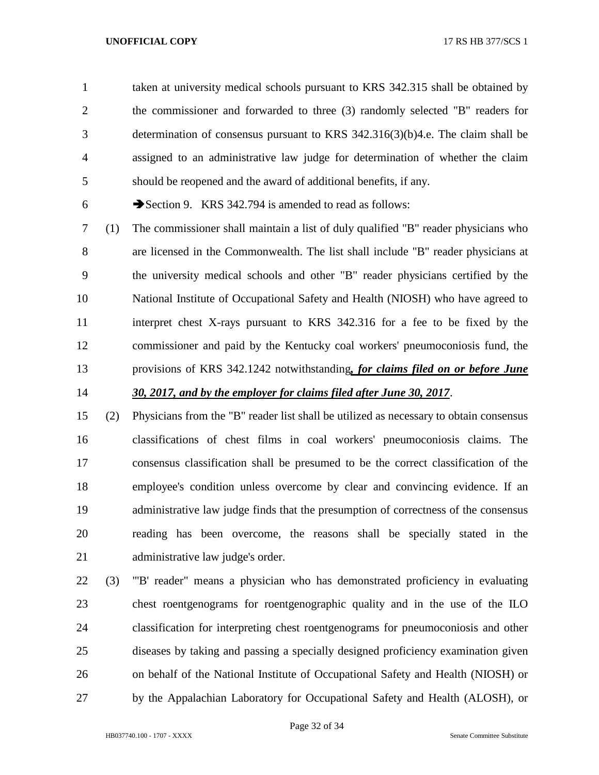taken at university medical schools pursuant to KRS 342.315 shall be obtained by the commissioner and forwarded to three (3) randomly selected "B" readers for determination of consensus pursuant to KRS 342.316(3)(b)4.e. The claim shall be assigned to an administrative law judge for determination of whether the claim should be reopened and the award of additional benefits, if any.

6 Section 9. KRS 342.794 is amended to read as follows:

 (1) The commissioner shall maintain a list of duly qualified "B" reader physicians who are licensed in the Commonwealth. The list shall include "B" reader physicians at the university medical schools and other "B" reader physicians certified by the National Institute of Occupational Safety and Health (NIOSH) who have agreed to interpret chest X-rays pursuant to KRS 342.316 for a fee to be fixed by the commissioner and paid by the Kentucky coal workers' pneumoconiosis fund, the provisions of KRS 342.1242 notwithstanding*, for claims filed on or before June 30, 2017, and by the employer for claims filed after June 30, 2017*.

 (2) Physicians from the "B" reader list shall be utilized as necessary to obtain consensus classifications of chest films in coal workers' pneumoconiosis claims. The consensus classification shall be presumed to be the correct classification of the employee's condition unless overcome by clear and convincing evidence. If an administrative law judge finds that the presumption of correctness of the consensus reading has been overcome, the reasons shall be specially stated in the administrative law judge's order.

 (3) "'B' reader" means a physician who has demonstrated proficiency in evaluating chest roentgenograms for roentgenographic quality and in the use of the ILO classification for interpreting chest roentgenograms for pneumoconiosis and other diseases by taking and passing a specially designed proficiency examination given on behalf of the National Institute of Occupational Safety and Health (NIOSH) or by the Appalachian Laboratory for Occupational Safety and Health (ALOSH), or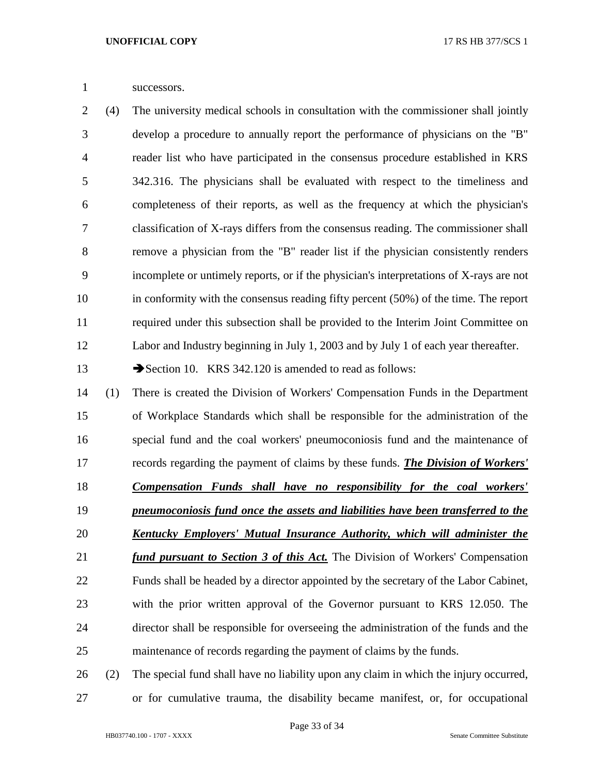successors.

 (4) The university medical schools in consultation with the commissioner shall jointly develop a procedure to annually report the performance of physicians on the "B" reader list who have participated in the consensus procedure established in KRS 342.316. The physicians shall be evaluated with respect to the timeliness and completeness of their reports, as well as the frequency at which the physician's classification of X-rays differs from the consensus reading. The commissioner shall remove a physician from the "B" reader list if the physician consistently renders incomplete or untimely reports, or if the physician's interpretations of X-rays are not in conformity with the consensus reading fifty percent (50%) of the time. The report required under this subsection shall be provided to the Interim Joint Committee on Labor and Industry beginning in July 1, 2003 and by July 1 of each year thereafter.

13 Section 10. KRS 342.120 is amended to read as follows:

 (1) There is created the Division of Workers' Compensation Funds in the Department of Workplace Standards which shall be responsible for the administration of the special fund and the coal workers' pneumoconiosis fund and the maintenance of records regarding the payment of claims by these funds. *The Division of Workers' Compensation Funds shall have no responsibility for the coal workers' pneumoconiosis fund once the assets and liabilities have been transferred to the Kentucky Employers' Mutual Insurance Authority, which will administer the fund pursuant to Section 3 of this Act.* The Division of Workers' Compensation Funds shall be headed by a director appointed by the secretary of the Labor Cabinet, with the prior written approval of the Governor pursuant to KRS 12.050. The director shall be responsible for overseeing the administration of the funds and the maintenance of records regarding the payment of claims by the funds.

 (2) The special fund shall have no liability upon any claim in which the injury occurred, or for cumulative trauma, the disability became manifest, or, for occupational